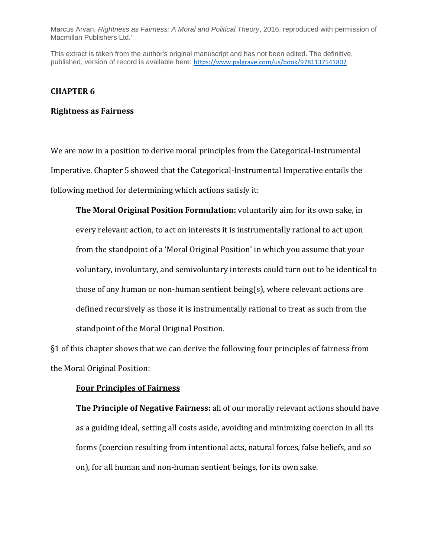Marcus Arvan, *Rightness as Fairness: A Moral and Political Theory*, 2016, reproduced with permission of Macmillan Publishers Ltd.'

This extract is taken from the author's original manuscript and has not been edited. The definitive, published, version of record is available here: <https://www.palgrave.com/us/book/9781137541802>

## **CHAPTER 6**

#### **Rightness as Fairness**

We are now in a position to derive moral principles from the Categorical-Instrumental Imperative. Chapter 5 showed that the Categorical-Instrumental Imperative entails the following method for determining which actions satisfy it:

**The Moral Original Position Formulation:** voluntarily aim for its own sake, in every relevant action, to act on interests it is instrumentally rational to act upon from the standpoint of a 'Moral Original Position' in which you assume that your voluntary, involuntary, and semivoluntary interests could turn out to be identical to those of any human or non-human sentient being(s), where relevant actions are defined recursively as those it is instrumentally rational to treat as such from the standpoint of the Moral Original Position.

§1 of this chapter shows that we can derive the following four principles of fairness from the Moral Original Position:

## **Four Principles of Fairness**

**The Principle of Negative Fairness:** all of our morally relevant actions should have as a guiding ideal, setting all costs aside, avoiding and minimizing coercion in all its forms (coercion resulting from intentional acts, natural forces, false beliefs, and so on), for all human and non-human sentient beings, for its own sake.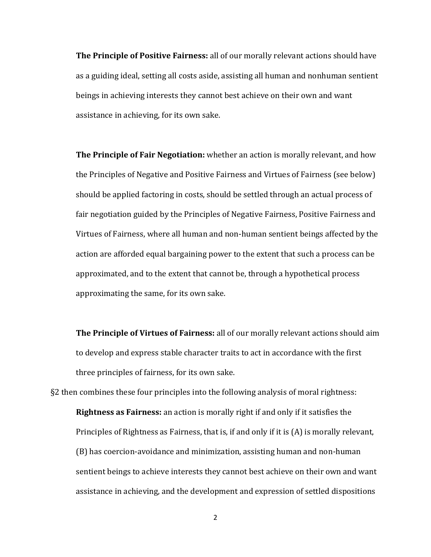**The Principle of Positive Fairness:** all of our morally relevant actions should have as a guiding ideal, setting all costs aside, assisting all human and nonhuman sentient beings in achieving interests they cannot best achieve on their own and want assistance in achieving, for its own sake.

**The Principle of Fair Negotiation:** whether an action is morally relevant, and how the Principles of Negative and Positive Fairness and Virtues of Fairness (see below) should be applied factoring in costs, should be settled through an actual process of fair negotiation guided by the Principles of Negative Fairness, Positive Fairness and Virtues of Fairness, where all human and non-human sentient beings affected by the action are afforded equal bargaining power to the extent that such a process can be approximated, and to the extent that cannot be, through a hypothetical process approximating the same, for its own sake.

**The Principle of Virtues of Fairness:** all of our morally relevant actions should aim to develop and express stable character traits to act in accordance with the first three principles of fairness, for its own sake.

§2 then combines these four principles into the following analysis of moral rightness: **Rightness as Fairness:** an action is morally right if and only if it satisfies the Principles of Rightness as Fairness, that is, if and only if it is (A) is morally relevant, (B) has coercion-avoidance and minimization, assisting human and non-human sentient beings to achieve interests they cannot best achieve on their own and want assistance in achieving, and the development and expression of settled dispositions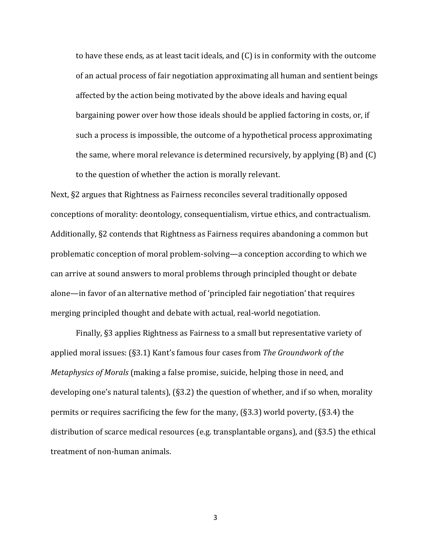to have these ends, as at least tacit ideals, and (C) is in conformity with the outcome of an actual process of fair negotiation approximating all human and sentient beings affected by the action being motivated by the above ideals and having equal bargaining power over how those ideals should be applied factoring in costs, or, if such a process is impossible, the outcome of a hypothetical process approximating the same, where moral relevance is determined recursively, by applying (B) and (C) to the question of whether the action is morally relevant.

Next, §2 argues that Rightness as Fairness reconciles several traditionally opposed conceptions of morality: deontology, consequentialism, virtue ethics, and contractualism. Additionally, §2 contends that Rightness as Fairness requires abandoning a common but problematic conception of moral problem-solving—a conception according to which we can arrive at sound answers to moral problems through principled thought or debate alone—in favor of an alternative method of 'principled fair negotiation' that requires merging principled thought and debate with actual, real-world negotiation.

Finally, §3 applies Rightness as Fairness to a small but representative variety of applied moral issues: (§3.1) Kant's famous four cases from *The Groundwork of the Metaphysics of Morals* (making a false promise, suicide, helping those in need, and developing one's natural talents), (§3.2) the question of whether, and if so when, morality permits or requires sacrificing the few for the many, (§3.3) world poverty, (§3.4) the distribution of scarce medical resources (e.g. transplantable organs), and (§3.5) the ethical treatment of non-human animals.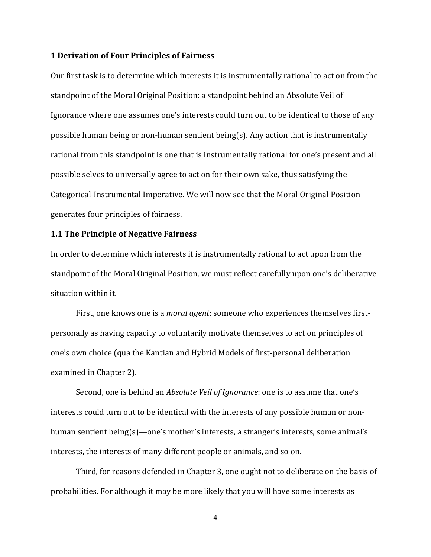#### **1 Derivation of Four Principles of Fairness**

Our first task is to determine which interests it is instrumentally rational to act on from the standpoint of the Moral Original Position: a standpoint behind an Absolute Veil of Ignorance where one assumes one's interests could turn out to be identical to those of any possible human being or non-human sentient being(s). Any action that is instrumentally rational from this standpoint is one that is instrumentally rational for one's present and all possible selves to universally agree to act on for their own sake, thus satisfying the Categorical-Instrumental Imperative. We will now see that the Moral Original Position generates four principles of fairness.

### **1.1 The Principle of Negative Fairness**

In order to determine which interests it is instrumentally rational to act upon from the standpoint of the Moral Original Position, we must reflect carefully upon one's deliberative situation within it.

First, one knows one is a *moral agent*: someone who experiences themselves firstpersonally as having capacity to voluntarily motivate themselves to act on principles of one's own choice (qua the Kantian and Hybrid Models of first-personal deliberation examined in Chapter 2).

Second, one is behind an *Absolute Veil of Ignorance*: one is to assume that one's interests could turn out to be identical with the interests of any possible human or nonhuman sentient being(s)—one's mother's interests, a stranger's interests, some animal's interests, the interests of many different people or animals, and so on.

Third, for reasons defended in Chapter 3, one ought not to deliberate on the basis of probabilities. For although it may be more likely that you will have some interests as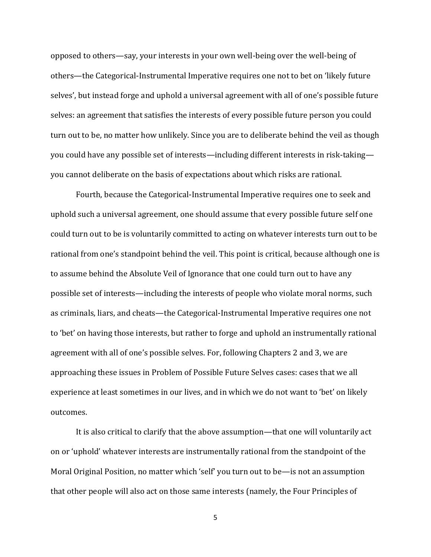opposed to others—say, your interests in your own well-being over the well-being of others—the Categorical-Instrumental Imperative requires one not to bet on 'likely future selves', but instead forge and uphold a universal agreement with all of one's possible future selves: an agreement that satisfies the interests of every possible future person you could turn out to be, no matter how unlikely. Since you are to deliberate behind the veil as though you could have any possible set of interests—including different interests in risk-taking you cannot deliberate on the basis of expectations about which risks are rational.

Fourth, because the Categorical-Instrumental Imperative requires one to seek and uphold such a universal agreement, one should assume that every possible future self one could turn out to be is voluntarily committed to acting on whatever interests turn out to be rational from one's standpoint behind the veil. This point is critical, because although one is to assume behind the Absolute Veil of Ignorance that one could turn out to have any possible set of interests—including the interests of people who violate moral norms, such as criminals, liars, and cheats—the Categorical-Instrumental Imperative requires one not to 'bet' on having those interests, but rather to forge and uphold an instrumentally rational agreement with all of one's possible selves. For, following Chapters 2 and 3, we are approaching these issues in Problem of Possible Future Selves cases: cases that we all experience at least sometimes in our lives, and in which we do not want to 'bet' on likely outcomes.

It is also critical to clarify that the above assumption—that one will voluntarily act on or 'uphold' whatever interests are instrumentally rational from the standpoint of the Moral Original Position, no matter which 'self' you turn out to be—is not an assumption that other people will also act on those same interests (namely, the Four Principles of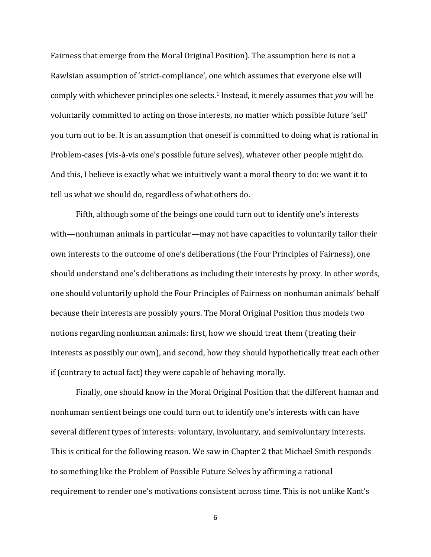Fairness that emerge from the Moral Original Position). The assumption here is not a Rawlsian assumption of 'strict-compliance', one which assumes that everyone else will comply with whichever principles one selects. <sup>1</sup> Instead, it merely assumes that *you* will be voluntarily committed to acting on those interests, no matter which possible future 'self' you turn out to be. It is an assumption that oneself is committed to doing what is rational in Problem-cases (vis-à-vis one's possible future selves), whatever other people might do. And this, I believe is exactly what we intuitively want a moral theory to do: we want it to tell us what we should do, regardless of what others do.

Fifth, although some of the beings one could turn out to identify one's interests with—nonhuman animals in particular—may not have capacities to voluntarily tailor their own interests to the outcome of one's deliberations (the Four Principles of Fairness), one should understand one's deliberations as including their interests by proxy. In other words, one should voluntarily uphold the Four Principles of Fairness on nonhuman animals' behalf because their interests are possibly yours. The Moral Original Position thus models two notions regarding nonhuman animals: first, how we should treat them (treating their interests as possibly our own), and second, how they should hypothetically treat each other if (contrary to actual fact) they were capable of behaving morally.

Finally, one should know in the Moral Original Position that the different human and nonhuman sentient beings one could turn out to identify one's interests with can have several different types of interests: voluntary, involuntary, and semivoluntary interests. This is critical for the following reason. We saw in Chapter 2 that Michael Smith responds to something like the Problem of Possible Future Selves by affirming a rational requirement to render one's motivations consistent across time. This is not unlike Kant's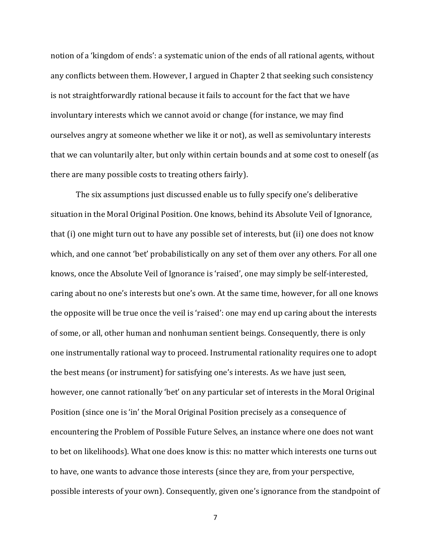notion of a 'kingdom of ends': a systematic union of the ends of all rational agents, without any conflicts between them. However, I argued in Chapter 2 that seeking such consistency is not straightforwardly rational because it fails to account for the fact that we have involuntary interests which we cannot avoid or change (for instance, we may find ourselves angry at someone whether we like it or not), as well as semivoluntary interests that we can voluntarily alter, but only within certain bounds and at some cost to oneself (as there are many possible costs to treating others fairly).

The six assumptions just discussed enable us to fully specify one's deliberative situation in the Moral Original Position. One knows, behind its Absolute Veil of Ignorance, that (i) one might turn out to have any possible set of interests, but (ii) one does not know which, and one cannot 'bet' probabilistically on any set of them over any others. For all one knows, once the Absolute Veil of Ignorance is 'raised', one may simply be self-interested, caring about no one's interests but one's own. At the same time, however, for all one knows the opposite will be true once the veil is 'raised': one may end up caring about the interests of some, or all, other human and nonhuman sentient beings. Consequently, there is only one instrumentally rational way to proceed. Instrumental rationality requires one to adopt the best means (or instrument) for satisfying one's interests. As we have just seen, however, one cannot rationally 'bet' on any particular set of interests in the Moral Original Position (since one is 'in' the Moral Original Position precisely as a consequence of encountering the Problem of Possible Future Selves, an instance where one does not want to bet on likelihoods). What one does know is this: no matter which interests one turns out to have, one wants to advance those interests (since they are, from your perspective, possible interests of your own). Consequently, given one's ignorance from the standpoint of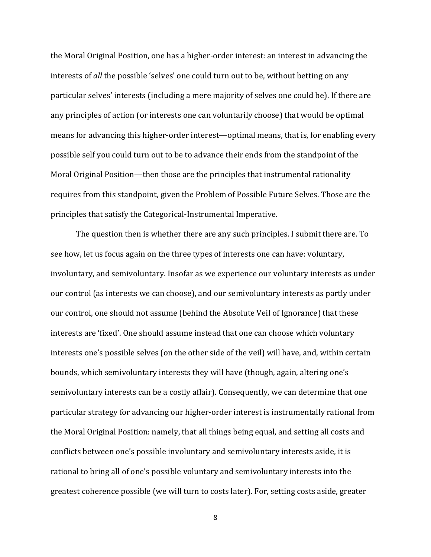the Moral Original Position, one has a higher-order interest: an interest in advancing the interests of *all* the possible 'selves' one could turn out to be, without betting on any particular selves' interests (including a mere majority of selves one could be). If there are any principles of action (or interests one can voluntarily choose) that would be optimal means for advancing this higher-order interest—optimal means, that is, for enabling every possible self you could turn out to be to advance their ends from the standpoint of the Moral Original Position—then those are the principles that instrumental rationality requires from this standpoint, given the Problem of Possible Future Selves. Those are the principles that satisfy the Categorical-Instrumental Imperative.

The question then is whether there are any such principles. I submit there are. To see how, let us focus again on the three types of interests one can have: voluntary, involuntary, and semivoluntary. Insofar as we experience our voluntary interests as under our control (as interests we can choose), and our semivoluntary interests as partly under our control, one should not assume (behind the Absolute Veil of Ignorance) that these interests are 'fixed'. One should assume instead that one can choose which voluntary interests one's possible selves (on the other side of the veil) will have, and, within certain bounds, which semivoluntary interests they will have (though, again, altering one's semivoluntary interests can be a costly affair). Consequently, we can determine that one particular strategy for advancing our higher-order interest is instrumentally rational from the Moral Original Position: namely, that all things being equal, and setting all costs and conflicts between one's possible involuntary and semivoluntary interests aside, it is rational to bring all of one's possible voluntary and semivoluntary interests into the greatest coherence possible (we will turn to costs later). For, setting costs aside, greater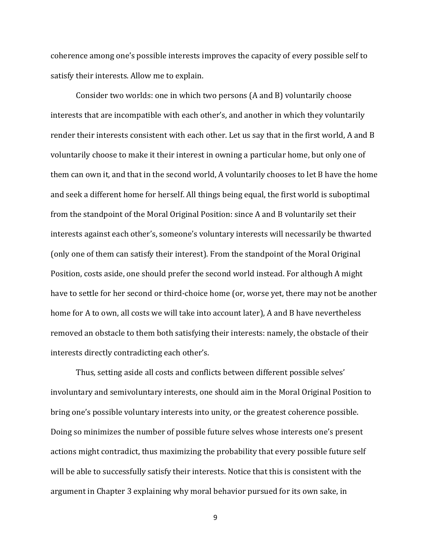coherence among one's possible interests improves the capacity of every possible self to satisfy their interests. Allow me to explain.

Consider two worlds: one in which two persons (A and B) voluntarily choose interests that are incompatible with each other's, and another in which they voluntarily render their interests consistent with each other. Let us say that in the first world, A and B voluntarily choose to make it their interest in owning a particular home, but only one of them can own it, and that in the second world, A voluntarily chooses to let B have the home and seek a different home for herself. All things being equal, the first world is suboptimal from the standpoint of the Moral Original Position: since A and B voluntarily set their interests against each other's, someone's voluntary interests will necessarily be thwarted (only one of them can satisfy their interest). From the standpoint of the Moral Original Position, costs aside, one should prefer the second world instead. For although A might have to settle for her second or third-choice home (or, worse yet, there may not be another home for A to own, all costs we will take into account later), A and B have nevertheless removed an obstacle to them both satisfying their interests: namely, the obstacle of their interests directly contradicting each other's.

Thus, setting aside all costs and conflicts between different possible selves' involuntary and semivoluntary interests, one should aim in the Moral Original Position to bring one's possible voluntary interests into unity, or the greatest coherence possible. Doing so minimizes the number of possible future selves whose interests one's present actions might contradict, thus maximizing the probability that every possible future self will be able to successfully satisfy their interests. Notice that this is consistent with the argument in Chapter 3 explaining why moral behavior pursued for its own sake, in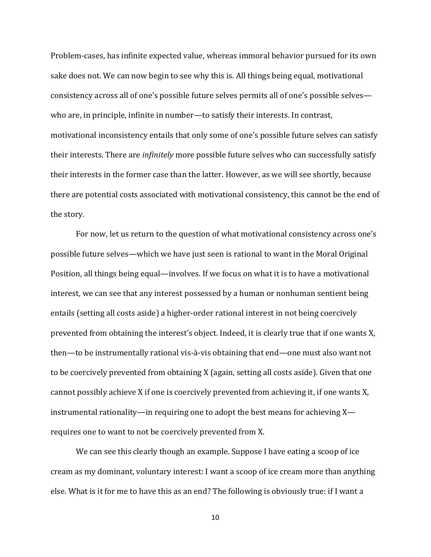Problem-cases, has infinite expected value, whereas immoral behavior pursued for its own sake does not. We can now begin to see why this is. All things being equal, motivational consistency across all of one's possible future selves permits all of one's possible selves who are, in principle, infinite in number—to satisfy their interests. In contrast, motivational inconsistency entails that only some of one's possible future selves can satisfy their interests. There are *infinitely* more possible future selves who can successfully satisfy their interests in the former case than the latter. However, as we will see shortly, because there are potential costs associated with motivational consistency, this cannot be the end of the story.

For now, let us return to the question of what motivational consistency across one's possible future selves—which we have just seen is rational to want in the Moral Original Position, all things being equal—involves. If we focus on what it is to have a motivational interest, we can see that any interest possessed by a human or nonhuman sentient being entails (setting all costs aside) a higher-order rational interest in not being coercively prevented from obtaining the interest's object. Indeed, it is clearly true that if one wants X, then—to be instrumentally rational vis-à-vis obtaining that end—one must also want not to be coercively prevented from obtaining X (again, setting all costs aside). Given that one cannot possibly achieve X if one is coercively prevented from achieving it, if one wants X, instrumental rationality—in requiring one to adopt the best means for achieving X requires one to want to not be coercively prevented from X.

We can see this clearly though an example. Suppose I have eating a scoop of ice cream as my dominant, voluntary interest: I want a scoop of ice cream more than anything else. What is it for me to have this as an end? The following is obviously true: if I want a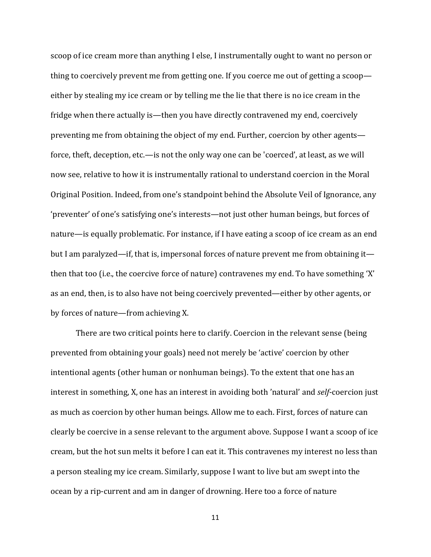scoop of ice cream more than anything I else, I instrumentally ought to want no person or thing to coercively prevent me from getting one. If you coerce me out of getting a scoop either by stealing my ice cream or by telling me the lie that there is no ice cream in the fridge when there actually is—then you have directly contravened my end, coercively preventing me from obtaining the object of my end. Further, coercion by other agents force, theft, deception, etc.—is not the only way one can be 'coerced', at least, as we will now see, relative to how it is instrumentally rational to understand coercion in the Moral Original Position. Indeed, from one's standpoint behind the Absolute Veil of Ignorance, any 'preventer' of one's satisfying one's interests—not just other human beings, but forces of nature—is equally problematic. For instance, if I have eating a scoop of ice cream as an end but I am paralyzed—if, that is, impersonal forces of nature prevent me from obtaining it then that too (i.e., the coercive force of nature) contravenes my end. To have something 'X' as an end, then, is to also have not being coercively prevented—either by other agents, or by forces of nature—from achieving X.

There are two critical points here to clarify. Coercion in the relevant sense (being prevented from obtaining your goals) need not merely be 'active' coercion by other intentional agents (other human or nonhuman beings). To the extent that one has an interest in something, X, one has an interest in avoiding both 'natural' and *self*-coercion just as much as coercion by other human beings. Allow me to each. First, forces of nature can clearly be coercive in a sense relevant to the argument above. Suppose I want a scoop of ice cream, but the hot sun melts it before I can eat it. This contravenes my interest no less than a person stealing my ice cream. Similarly, suppose I want to live but am swept into the ocean by a rip-current and am in danger of drowning. Here too a force of nature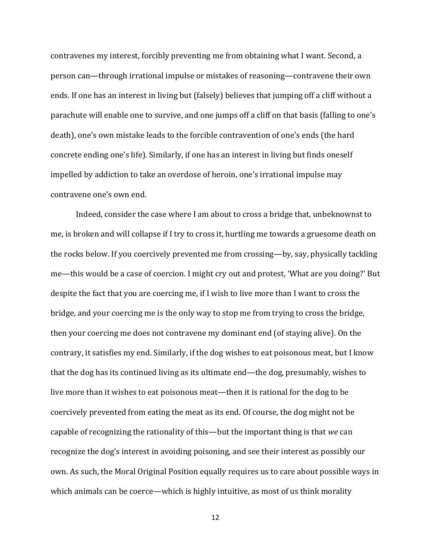contravenes my interest, forcibly preventing me from obtaining what I want. Second, a person can—through irrational impulse or mistakes of reasoning—contravene their own ends. If one has an interest in living but (falsely) believes that jumping off a cliff without a parachute will enable one to survive, and one jumps off a cliff on that basis (falling to one's death), one's own mistake leads to the forcible contravention of one's ends (the hard concrete ending one's life). Similarly, if one has an interest in living but finds oneself impelled by addiction to take an overdose of heroin, one's irrational impulse may contravene one's own end.

Indeed, consider the case where I am about to cross a bridge that, unbeknownst to me, is broken and will collapse if I try to cross it, hurtling me towards a gruesome death on the rocks below. If you coercively prevented me from crossing—by, say, physically tackling me—this would be a case of coercion. I might cry out and protest, 'What are you doing?' But despite the fact that you are coercing me, if I wish to live more than I want to cross the bridge, and your coercing me is the only way to stop me from trying to cross the bridge, then your coercing me does not contravene my dominant end (of staying alive). On the contrary, it satisfies my end. Similarly, if the dog wishes to eat poisonous meat, but I know that the dog has its continued living as its ultimate end—the dog, presumably, wishes to live more than it wishes to eat poisonous meat—then it is rational for the dog to be coercively prevented from eating the meat as its end. Of course, the dog might not be capable of recognizing the rationality of this—but the important thing is that *we* can recognize the dog's interest in avoiding poisoning, and see their interest as possibly our own. As such, the Moral Original Position equally requires us to care about possible ways in which animals can be coerce—which is highly intuitive, as most of us think morality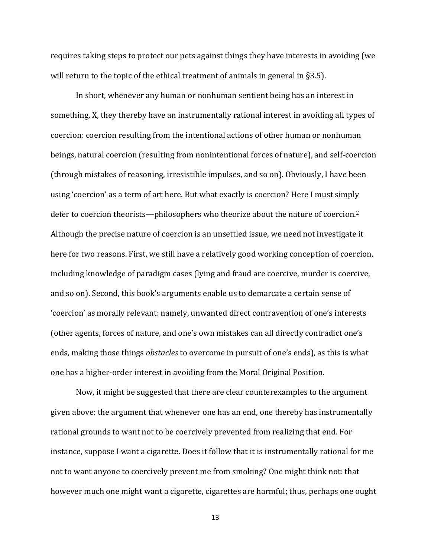requires taking steps to protect our pets against things they have interests in avoiding (we will return to the topic of the ethical treatment of animals in general in §3.5).

In short, whenever any human or nonhuman sentient being has an interest in something, X, they thereby have an instrumentally rational interest in avoiding all types of coercion: coercion resulting from the intentional actions of other human or nonhuman beings, natural coercion (resulting from nonintentional forces of nature), and self-coercion (through mistakes of reasoning, irresistible impulses, and so on). Obviously, I have been using 'coercion' as a term of art here. But what exactly is coercion? Here I must simply defer to coercion theorists—philosophers who theorize about the nature of coercion.<sup>2</sup> Although the precise nature of coercion is an unsettled issue, we need not investigate it here for two reasons. First, we still have a relatively good working conception of coercion, including knowledge of paradigm cases (lying and fraud are coercive, murder is coercive, and so on). Second, this book's arguments enable us to demarcate a certain sense of 'coercion' as morally relevant: namely, unwanted direct contravention of one's interests (other agents, forces of nature, and one's own mistakes can all directly contradict one's ends, making those things *obstacles* to overcome in pursuit of one's ends), as this is what one has a higher-order interest in avoiding from the Moral Original Position.

Now, it might be suggested that there are clear counterexamples to the argument given above: the argument that whenever one has an end, one thereby has instrumentally rational grounds to want not to be coercively prevented from realizing that end. For instance, suppose I want a cigarette. Does it follow that it is instrumentally rational for me not to want anyone to coercively prevent me from smoking? One might think not: that however much one might want a cigarette, cigarettes are harmful; thus, perhaps one ought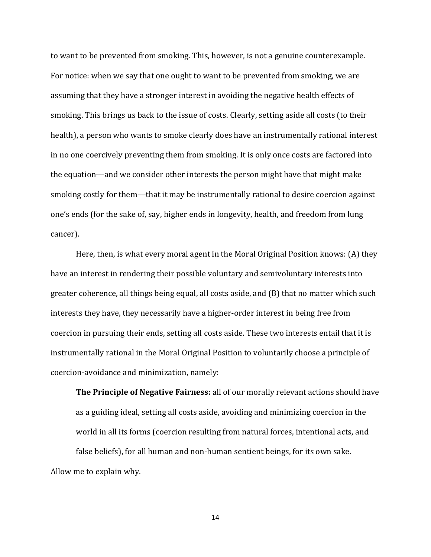to want to be prevented from smoking. This, however, is not a genuine counterexample. For notice: when we say that one ought to want to be prevented from smoking, we are assuming that they have a stronger interest in avoiding the negative health effects of smoking. This brings us back to the issue of costs. Clearly, setting aside all costs (to their health), a person who wants to smoke clearly does have an instrumentally rational interest in no one coercively preventing them from smoking. It is only once costs are factored into the equation—and we consider other interests the person might have that might make smoking costly for them—that it may be instrumentally rational to desire coercion against one's ends (for the sake of, say, higher ends in longevity, health, and freedom from lung cancer).

Here, then, is what every moral agent in the Moral Original Position knows: (A) they have an interest in rendering their possible voluntary and semivoluntary interests into greater coherence, all things being equal, all costs aside, and (B) that no matter which such interests they have, they necessarily have a higher-order interest in being free from coercion in pursuing their ends, setting all costs aside. These two interests entail that it is instrumentally rational in the Moral Original Position to voluntarily choose a principle of coercion-avoidance and minimization, namely:

**The Principle of Negative Fairness:** all of our morally relevant actions should have as a guiding ideal, setting all costs aside, avoiding and minimizing coercion in the world in all its forms (coercion resulting from natural forces, intentional acts, and false beliefs), for all human and non-human sentient beings, for its own sake. Allow me to explain why.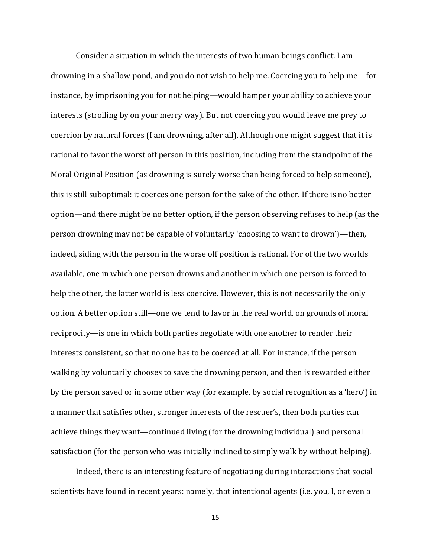Consider a situation in which the interests of two human beings conflict. I am drowning in a shallow pond, and you do not wish to help me. Coercing you to help me—for instance, by imprisoning you for not helping—would hamper your ability to achieve your interests (strolling by on your merry way). But not coercing you would leave me prey to coercion by natural forces (I am drowning, after all). Although one might suggest that it is rational to favor the worst off person in this position, including from the standpoint of the Moral Original Position (as drowning is surely worse than being forced to help someone), this is still suboptimal: it coerces one person for the sake of the other. If there is no better option—and there might be no better option, if the person observing refuses to help (as the person drowning may not be capable of voluntarily 'choosing to want to drown')—then, indeed, siding with the person in the worse off position is rational. For of the two worlds available, one in which one person drowns and another in which one person is forced to help the other, the latter world is less coercive. However, this is not necessarily the only option. A better option still—one we tend to favor in the real world, on grounds of moral reciprocity—is one in which both parties negotiate with one another to render their interests consistent, so that no one has to be coerced at all. For instance, if the person walking by voluntarily chooses to save the drowning person, and then is rewarded either by the person saved or in some other way (for example, by social recognition as a 'hero') in a manner that satisfies other, stronger interests of the rescuer's, then both parties can achieve things they want—continued living (for the drowning individual) and personal satisfaction (for the person who was initially inclined to simply walk by without helping).

Indeed, there is an interesting feature of negotiating during interactions that social scientists have found in recent years: namely, that intentional agents (i.e. you, I, or even a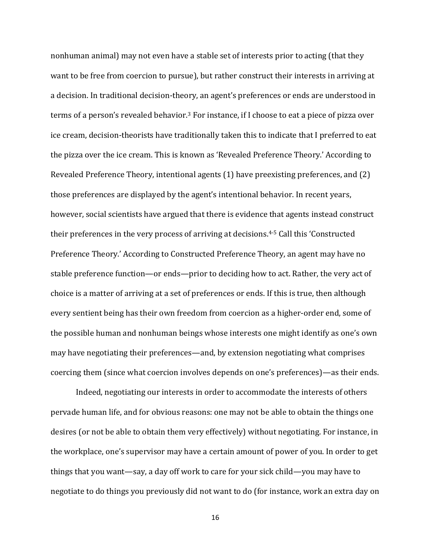nonhuman animal) may not even have a stable set of interests prior to acting (that they want to be free from coercion to pursue), but rather construct their interests in arriving at a decision. In traditional decision-theory, an agent's preferences or ends are understood in terms of a person's revealed behavior.<sup>3</sup> For instance, if I choose to eat a piece of pizza over ice cream, decision-theorists have traditionally taken this to indicate that I preferred to eat the pizza over the ice cream. This is known as 'Revealed Preference Theory.' According to Revealed Preference Theory, intentional agents (1) have preexisting preferences, and (2) those preferences are displayed by the agent's intentional behavior. In recent years, however, social scientists have argued that there is evidence that agents instead construct their preferences in the very process of arriving at decisions.4-5 Call this 'Constructed Preference Theory.' According to Constructed Preference Theory, an agent may have no stable preference function—or ends—prior to deciding how to act. Rather, the very act of choice is a matter of arriving at a set of preferences or ends. If this is true, then although every sentient being has their own freedom from coercion as a higher-order end, some of the possible human and nonhuman beings whose interests one might identify as one's own may have negotiating their preferences—and, by extension negotiating what comprises coercing them (since what coercion involves depends on one's preferences)—as their ends.

Indeed, negotiating our interests in order to accommodate the interests of others pervade human life, and for obvious reasons: one may not be able to obtain the things one desires (or not be able to obtain them very effectively) without negotiating. For instance, in the workplace, one's supervisor may have a certain amount of power of you. In order to get things that you want—say, a day off work to care for your sick child—you may have to negotiate to do things you previously did not want to do (for instance, work an extra day on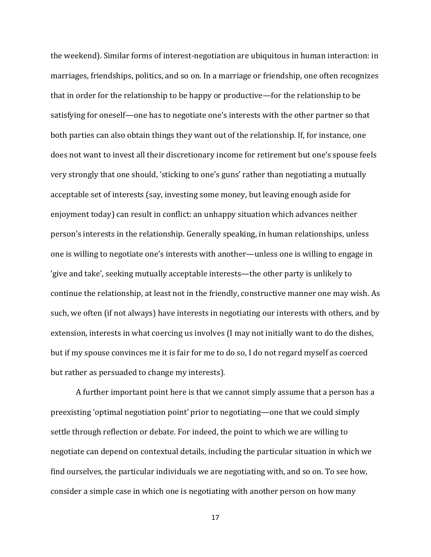the weekend). Similar forms of interest-negotiation are ubiquitous in human interaction: in marriages, friendships, politics, and so on. In a marriage or friendship, one often recognizes that in order for the relationship to be happy or productive—for the relationship to be satisfying for oneself—one has to negotiate one's interests with the other partner so that both parties can also obtain things they want out of the relationship. If, for instance, one does not want to invest all their discretionary income for retirement but one's spouse feels very strongly that one should, 'sticking to one's guns' rather than negotiating a mutually acceptable set of interests (say, investing some money, but leaving enough aside for enjoyment today) can result in conflict: an unhappy situation which advances neither person's interests in the relationship. Generally speaking, in human relationships, unless one is willing to negotiate one's interests with another—unless one is willing to engage in 'give and take', seeking mutually acceptable interests—the other party is unlikely to continue the relationship, at least not in the friendly, constructive manner one may wish. As such, we often (if not always) have interests in negotiating our interests with others, and by extension, interests in what coercing us involves (I may not initially want to do the dishes, but if my spouse convinces me it is fair for me to do so, I do not regard myself as coerced but rather as persuaded to change my interests).

A further important point here is that we cannot simply assume that a person has a preexisting 'optimal negotiation point' prior to negotiating—one that we could simply settle through reflection or debate. For indeed, the point to which we are willing to negotiate can depend on contextual details, including the particular situation in which we find ourselves, the particular individuals we are negotiating with, and so on. To see how, consider a simple case in which one is negotiating with another person on how many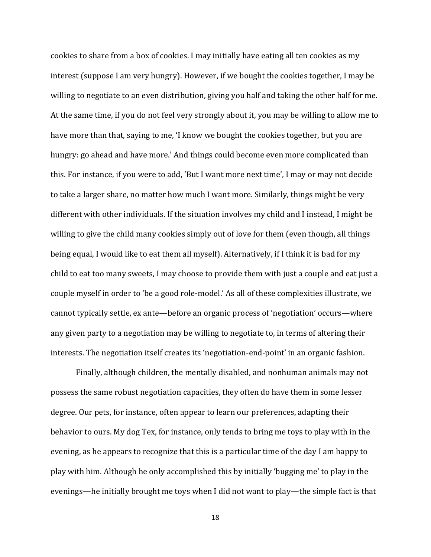cookies to share from a box of cookies. I may initially have eating all ten cookies as my interest (suppose I am very hungry). However, if we bought the cookies together, I may be willing to negotiate to an even distribution, giving you half and taking the other half for me. At the same time, if you do not feel very strongly about it, you may be willing to allow me to have more than that, saying to me, 'I know we bought the cookies together, but you are hungry: go ahead and have more.' And things could become even more complicated than this. For instance, if you were to add, 'But I want more next time', I may or may not decide to take a larger share, no matter how much I want more. Similarly, things might be very different with other individuals. If the situation involves my child and I instead, I might be willing to give the child many cookies simply out of love for them (even though, all things being equal, I would like to eat them all myself). Alternatively, if I think it is bad for my child to eat too many sweets, I may choose to provide them with just a couple and eat just a couple myself in order to 'be a good role-model.' As all of these complexities illustrate, we cannot typically settle, ex ante—before an organic process of 'negotiation' occurs—where any given party to a negotiation may be willing to negotiate to, in terms of altering their interests. The negotiation itself creates its 'negotiation-end-point' in an organic fashion.

Finally, although children, the mentally disabled, and nonhuman animals may not possess the same robust negotiation capacities, they often do have them in some lesser degree. Our pets, for instance, often appear to learn our preferences, adapting their behavior to ours. My dog Tex, for instance, only tends to bring me toys to play with in the evening, as he appears to recognize that this is a particular time of the day I am happy to play with him. Although he only accomplished this by initially 'bugging me' to play in the evenings—he initially brought me toys when I did not want to play—the simple fact is that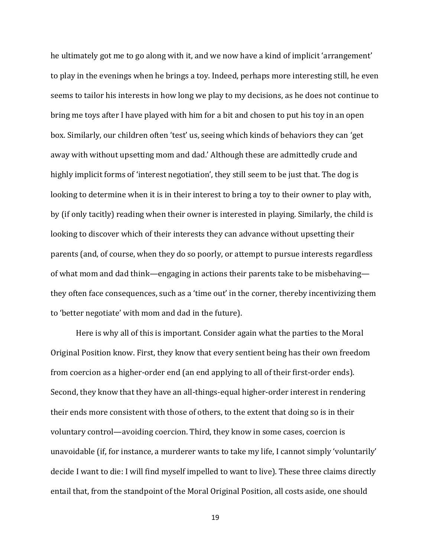he ultimately got me to go along with it, and we now have a kind of implicit 'arrangement' to play in the evenings when he brings a toy. Indeed, perhaps more interesting still, he even seems to tailor his interests in how long we play to my decisions, as he does not continue to bring me toys after I have played with him for a bit and chosen to put his toy in an open box. Similarly, our children often 'test' us, seeing which kinds of behaviors they can 'get away with without upsetting mom and dad.' Although these are admittedly crude and highly implicit forms of 'interest negotiation', they still seem to be just that. The dog is looking to determine when it is in their interest to bring a toy to their owner to play with, by (if only tacitly) reading when their owner is interested in playing. Similarly, the child is looking to discover which of their interests they can advance without upsetting their parents (and, of course, when they do so poorly, or attempt to pursue interests regardless of what mom and dad think—engaging in actions their parents take to be misbehaving they often face consequences, such as a 'time out' in the corner, thereby incentivizing them to 'better negotiate' with mom and dad in the future).

Here is why all of this is important. Consider again what the parties to the Moral Original Position know. First, they know that every sentient being has their own freedom from coercion as a higher-order end (an end applying to all of their first-order ends). Second, they know that they have an all-things-equal higher-order interest in rendering their ends more consistent with those of others, to the extent that doing so is in their voluntary control—avoiding coercion. Third, they know in some cases, coercion is unavoidable (if, for instance, a murderer wants to take my life, I cannot simply 'voluntarily' decide I want to die: I will find myself impelled to want to live). These three claims directly entail that, from the standpoint of the Moral Original Position, all costs aside, one should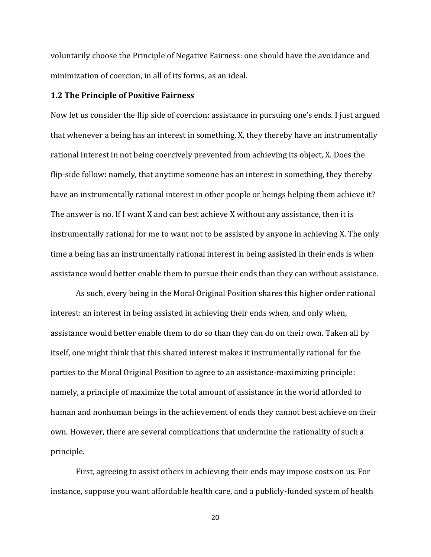voluntarily choose the Principle of Negative Fairness: one should have the avoidance and minimization of coercion, in all of its forms, as an ideal.

#### **1.2 The Principle of Positive Fairness**

Now let us consider the flip side of coercion: assistance in pursuing one's ends. I just argued that whenever a being has an interest in something, X, they thereby have an instrumentally rational interest in not being coercively prevented from achieving its object, X. Does the flip-side follow: namely, that anytime someone has an interest in something, they thereby have an instrumentally rational interest in other people or beings helping them achieve it? The answer is no. If I want X and can best achieve X without any assistance, then it is instrumentally rational for me to want not to be assisted by anyone in achieving X. The only time a being has an instrumentally rational interest in being assisted in their ends is when assistance would better enable them to pursue their ends than they can without assistance.

As such, every being in the Moral Original Position shares this higher order rational interest: an interest in being assisted in achieving their ends when, and only when, assistance would better enable them to do so than they can do on their own. Taken all by itself, one might think that this shared interest makes it instrumentally rational for the parties to the Moral Original Position to agree to an assistance-maximizing principle: namely, a principle of maximize the total amount of assistance in the world afforded to human and nonhuman beings in the achievement of ends they cannot best achieve on their own. However, there are several complications that undermine the rationality of such a principle.

First, agreeing to assist others in achieving their ends may impose costs on us. For instance, suppose you want affordable health care, and a publicly-funded system of health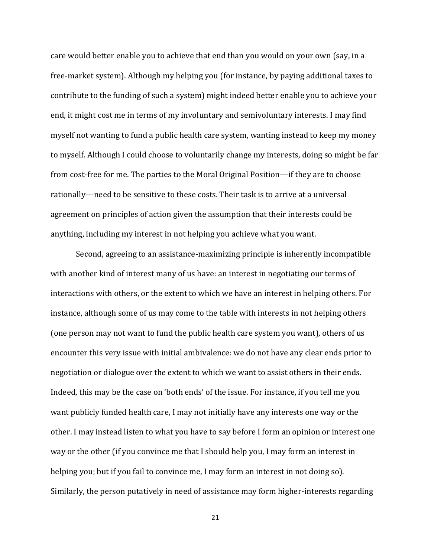care would better enable you to achieve that end than you would on your own (say, in a free-market system). Although my helping you (for instance, by paying additional taxes to contribute to the funding of such a system) might indeed better enable you to achieve your end, it might cost me in terms of my involuntary and semivoluntary interests. I may find myself not wanting to fund a public health care system, wanting instead to keep my money to myself. Although I could choose to voluntarily change my interests, doing so might be far from cost-free for me. The parties to the Moral Original Position—if they are to choose rationally—need to be sensitive to these costs. Their task is to arrive at a universal agreement on principles of action given the assumption that their interests could be anything, including my interest in not helping you achieve what you want.

Second, agreeing to an assistance-maximizing principle is inherently incompatible with another kind of interest many of us have: an interest in negotiating our terms of interactions with others, or the extent to which we have an interest in helping others. For instance, although some of us may come to the table with interests in not helping others (one person may not want to fund the public health care system you want), others of us encounter this very issue with initial ambivalence: we do not have any clear ends prior to negotiation or dialogue over the extent to which we want to assist others in their ends. Indeed, this may be the case on 'both ends' of the issue. For instance, if you tell me you want publicly funded health care, I may not initially have any interests one way or the other. I may instead listen to what you have to say before I form an opinion or interest one way or the other (if you convince me that I should help you, I may form an interest in helping you; but if you fail to convince me, I may form an interest in not doing so). Similarly, the person putatively in need of assistance may form higher-interests regarding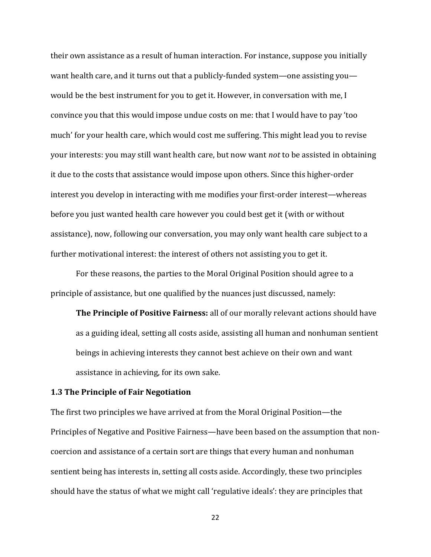their own assistance as a result of human interaction. For instance, suppose you initially want health care, and it turns out that a publicly-funded system—one assisting you would be the best instrument for you to get it. However, in conversation with me, I convince you that this would impose undue costs on me: that I would have to pay 'too much' for your health care, which would cost me suffering. This might lead you to revise your interests: you may still want health care, but now want *not* to be assisted in obtaining it due to the costs that assistance would impose upon others. Since this higher-order interest you develop in interacting with me modifies your first-order interest—whereas before you just wanted health care however you could best get it (with or without assistance), now, following our conversation, you may only want health care subject to a further motivational interest: the interest of others not assisting you to get it.

For these reasons, the parties to the Moral Original Position should agree to a principle of assistance, but one qualified by the nuances just discussed, namely:

**The Principle of Positive Fairness:** all of our morally relevant actions should have as a guiding ideal, setting all costs aside, assisting all human and nonhuman sentient beings in achieving interests they cannot best achieve on their own and want assistance in achieving, for its own sake.

# **1.3 The Principle of Fair Negotiation**

The first two principles we have arrived at from the Moral Original Position—the Principles of Negative and Positive Fairness—have been based on the assumption that noncoercion and assistance of a certain sort are things that every human and nonhuman sentient being has interests in, setting all costs aside. Accordingly, these two principles should have the status of what we might call 'regulative ideals': they are principles that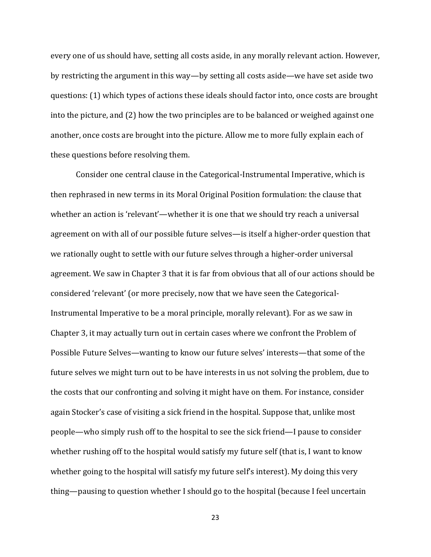every one of us should have, setting all costs aside, in any morally relevant action. However, by restricting the argument in this way—by setting all costs aside—we have set aside two questions: (1) which types of actions these ideals should factor into, once costs are brought into the picture, and (2) how the two principles are to be balanced or weighed against one another, once costs are brought into the picture. Allow me to more fully explain each of these questions before resolving them.

Consider one central clause in the Categorical-Instrumental Imperative, which is then rephrased in new terms in its Moral Original Position formulation: the clause that whether an action is 'relevant'—whether it is one that we should try reach a universal agreement on with all of our possible future selves—is itself a higher-order question that we rationally ought to settle with our future selves through a higher-order universal agreement. We saw in Chapter 3 that it is far from obvious that all of our actions should be considered 'relevant' (or more precisely, now that we have seen the Categorical-Instrumental Imperative to be a moral principle, morally relevant). For as we saw in Chapter 3, it may actually turn out in certain cases where we confront the Problem of Possible Future Selves—wanting to know our future selves' interests—that some of the future selves we might turn out to be have interests in us not solving the problem, due to the costs that our confronting and solving it might have on them. For instance, consider again Stocker's case of visiting a sick friend in the hospital. Suppose that, unlike most people—who simply rush off to the hospital to see the sick friend—I pause to consider whether rushing off to the hospital would satisfy my future self (that is, I want to know whether going to the hospital will satisfy my future self's interest). My doing this very thing—pausing to question whether I should go to the hospital (because I feel uncertain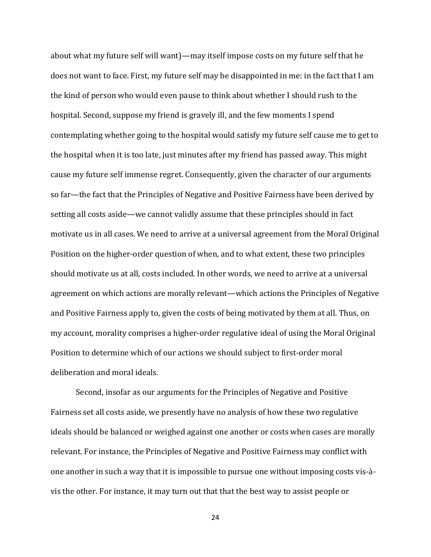about what my future self will want)—may itself impose costs on my future self that he does not want to face. First, my future self may be disappointed in me: in the fact that I am the kind of person who would even pause to think about whether I should rush to the hospital. Second, suppose my friend is gravely ill, and the few moments I spend contemplating whether going to the hospital would satisfy my future self cause me to get to the hospital when it is too late, just minutes after my friend has passed away. This might cause my future self immense regret. Consequently, given the character of our arguments so far—the fact that the Principles of Negative and Positive Fairness have been derived by setting all costs aside—we cannot validly assume that these principles should in fact motivate us in all cases. We need to arrive at a universal agreement from the Moral Original Position on the higher-order question of when, and to what extent, these two principles should motivate us at all, costs included. In other words, we need to arrive at a universal agreement on which actions are morally relevant—which actions the Principles of Negative and Positive Fairness apply to, given the costs of being motivated by them at all. Thus, on my account, morality comprises a higher-order regulative ideal of using the Moral Original Position to determine which of our actions we should subject to first-order moral deliberation and moral ideals.

Second, insofar as our arguments for the Principles of Negative and Positive Fairness set all costs aside, we presently have no analysis of how these two regulative ideals should be balanced or weighed against one another or costs when cases are morally relevant. For instance, the Principles of Negative and Positive Fairness may conflict with one another in such a way that it is impossible to pursue one without imposing costs vis-àvis the other. For instance, it may turn out that that the best way to assist people or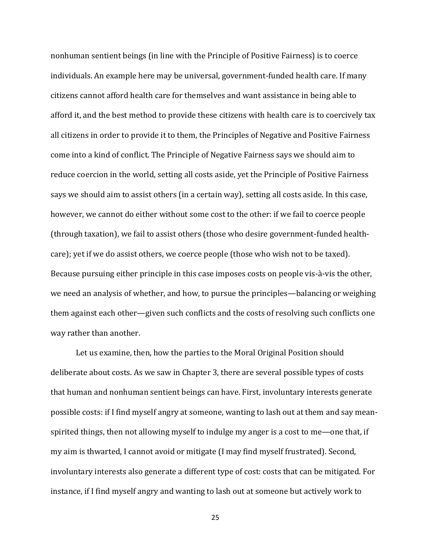nonhuman sentient beings (in line with the Principle of Positive Fairness) is to coerce individuals. An example here may be universal, government-funded health care. If many citizens cannot afford health care for themselves and want assistance in being able to afford it, and the best method to provide these citizens with health care is to coercively tax all citizens in order to provide it to them, the Principles of Negative and Positive Fairness come into a kind of conflict. The Principle of Negative Fairness says we should aim to reduce coercion in the world, setting all costs aside, yet the Principle of Positive Fairness says we should aim to assist others (in a certain way), setting all costs aside. In this case, however, we cannot do either without some cost to the other: if we fail to coerce people (through taxation), we fail to assist others (those who desire government-funded healthcare); yet if we do assist others, we coerce people (those who wish not to be taxed). Because pursuing either principle in this case imposes costs on people vis-à-vis the other, we need an analysis of whether, and how, to pursue the principles—balancing or weighing them against each other—given such conflicts and the costs of resolving such conflicts one way rather than another.

Let us examine, then, how the parties to the Moral Original Position should deliberate about costs. As we saw in Chapter 3, there are several possible types of costs that human and nonhuman sentient beings can have. First, involuntary interests generate possible costs: if I find myself angry at someone, wanting to lash out at them and say meanspirited things, then not allowing myself to indulge my anger is a cost to me—one that, if my aim is thwarted, I cannot avoid or mitigate (I may find myself frustrated). Second, involuntary interests also generate a different type of cost: costs that can be mitigated. For instance, if I find myself angry and wanting to lash out at someone but actively work to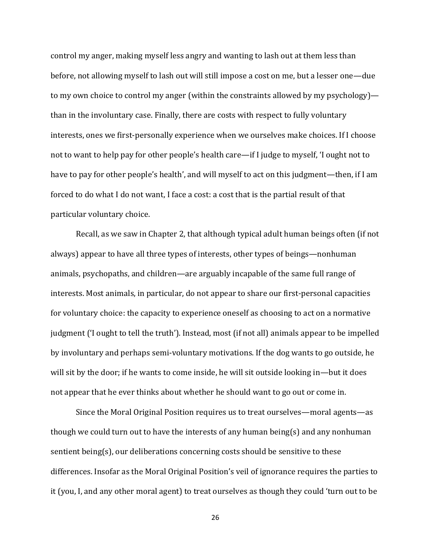control my anger, making myself less angry and wanting to lash out at them less than before, not allowing myself to lash out will still impose a cost on me, but a lesser one—due to my own choice to control my anger (within the constraints allowed by my psychology) than in the involuntary case. Finally, there are costs with respect to fully voluntary interests, ones we first-personally experience when we ourselves make choices. If I choose not to want to help pay for other people's health care—if I judge to myself, 'I ought not to have to pay for other people's health', and will myself to act on this judgment—then, if I am forced to do what I do not want, I face a cost: a cost that is the partial result of that particular voluntary choice.

Recall, as we saw in Chapter 2, that although typical adult human beings often (if not always) appear to have all three types of interests, other types of beings—nonhuman animals, psychopaths, and children—are arguably incapable of the same full range of interests. Most animals, in particular, do not appear to share our first-personal capacities for voluntary choice: the capacity to experience oneself as choosing to act on a normative judgment ('I ought to tell the truth'). Instead, most (if not all) animals appear to be impelled by involuntary and perhaps semi-voluntary motivations. If the dog wants to go outside, he will sit by the door; if he wants to come inside, he will sit outside looking in—but it does not appear that he ever thinks about whether he should want to go out or come in.

Since the Moral Original Position requires us to treat ourselves—moral agents—as though we could turn out to have the interests of any human being(s) and any nonhuman sentient being(s), our deliberations concerning costs should be sensitive to these differences. Insofar as the Moral Original Position's veil of ignorance requires the parties to it (you, I, and any other moral agent) to treat ourselves as though they could 'turn out to be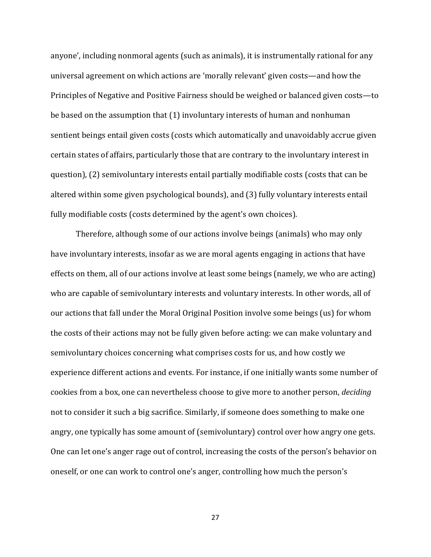anyone', including nonmoral agents (such as animals), it is instrumentally rational for any universal agreement on which actions are 'morally relevant' given costs—and how the Principles of Negative and Positive Fairness should be weighed or balanced given costs—to be based on the assumption that (1) involuntary interests of human and nonhuman sentient beings entail given costs (costs which automatically and unavoidably accrue given certain states of affairs, particularly those that are contrary to the involuntary interest in question), (2) semivoluntary interests entail partially modifiable costs (costs that can be altered within some given psychological bounds), and (3) fully voluntary interests entail fully modifiable costs (costs determined by the agent's own choices).

Therefore, although some of our actions involve beings (animals) who may only have involuntary interests, insofar as we are moral agents engaging in actions that have effects on them, all of our actions involve at least some beings (namely, we who are acting) who are capable of semivoluntary interests and voluntary interests. In other words, all of our actions that fall under the Moral Original Position involve some beings (us) for whom the costs of their actions may not be fully given before acting: we can make voluntary and semivoluntary choices concerning what comprises costs for us, and how costly we experience different actions and events. For instance, if one initially wants some number of cookies from a box, one can nevertheless choose to give more to another person, *deciding* not to consider it such a big sacrifice. Similarly, if someone does something to make one angry, one typically has some amount of (semivoluntary) control over how angry one gets. One can let one's anger rage out of control, increasing the costs of the person's behavior on oneself, or one can work to control one's anger, controlling how much the person's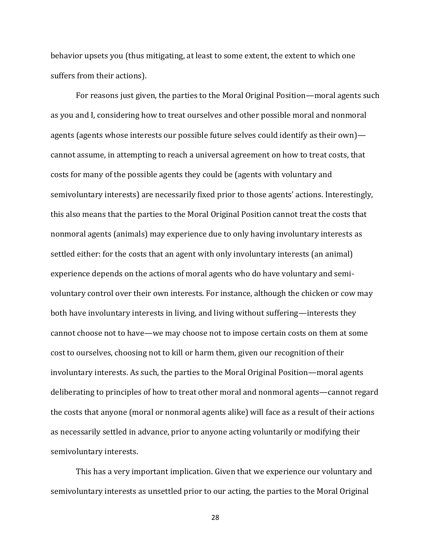behavior upsets you (thus mitigating, at least to some extent, the extent to which one suffers from their actions).

For reasons just given, the parties to the Moral Original Position—moral agents such as you and I, considering how to treat ourselves and other possible moral and nonmoral agents (agents whose interests our possible future selves could identify as their own) cannot assume, in attempting to reach a universal agreement on how to treat costs, that costs for many of the possible agents they could be (agents with voluntary and semivoluntary interests) are necessarily fixed prior to those agents' actions. Interestingly, this also means that the parties to the Moral Original Position cannot treat the costs that nonmoral agents (animals) may experience due to only having involuntary interests as settled either: for the costs that an agent with only involuntary interests (an animal) experience depends on the actions of moral agents who do have voluntary and semivoluntary control over their own interests. For instance, although the chicken or cow may both have involuntary interests in living, and living without suffering—interests they cannot choose not to have—we may choose not to impose certain costs on them at some cost to ourselves, choosing not to kill or harm them, given our recognition of their involuntary interests. As such, the parties to the Moral Original Position—moral agents deliberating to principles of how to treat other moral and nonmoral agents—cannot regard the costs that anyone (moral or nonmoral agents alike) will face as a result of their actions as necessarily settled in advance, prior to anyone acting voluntarily or modifying their semivoluntary interests.

This has a very important implication. Given that we experience our voluntary and semivoluntary interests as unsettled prior to our acting, the parties to the Moral Original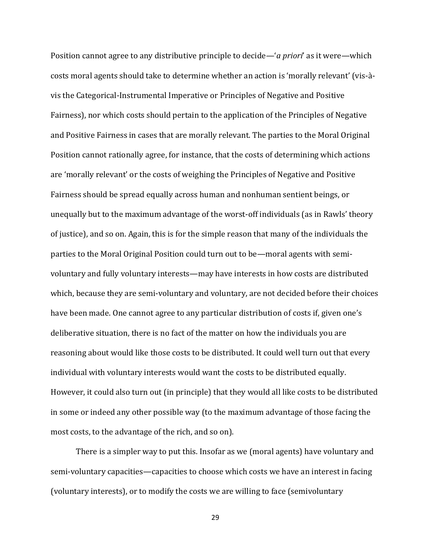Position cannot agree to any distributive principle to decide—'*a priori*' as it were—which costs moral agents should take to determine whether an action is 'morally relevant' (vis-àvis the Categorical-Instrumental Imperative or Principles of Negative and Positive Fairness), nor which costs should pertain to the application of the Principles of Negative and Positive Fairness in cases that are morally relevant. The parties to the Moral Original Position cannot rationally agree, for instance, that the costs of determining which actions are 'morally relevant' or the costs of weighing the Principles of Negative and Positive Fairness should be spread equally across human and nonhuman sentient beings, or unequally but to the maximum advantage of the worst-off individuals (as in Rawls' theory of justice), and so on. Again, this is for the simple reason that many of the individuals the parties to the Moral Original Position could turn out to be—moral agents with semivoluntary and fully voluntary interests—may have interests in how costs are distributed which, because they are semi-voluntary and voluntary, are not decided before their choices have been made. One cannot agree to any particular distribution of costs if, given one's deliberative situation, there is no fact of the matter on how the individuals you are reasoning about would like those costs to be distributed. It could well turn out that every individual with voluntary interests would want the costs to be distributed equally. However, it could also turn out (in principle) that they would all like costs to be distributed in some or indeed any other possible way (to the maximum advantage of those facing the most costs, to the advantage of the rich, and so on).

There is a simpler way to put this. Insofar as we (moral agents) have voluntary and semi-voluntary capacities—capacities to choose which costs we have an interest in facing (voluntary interests), or to modify the costs we are willing to face (semivoluntary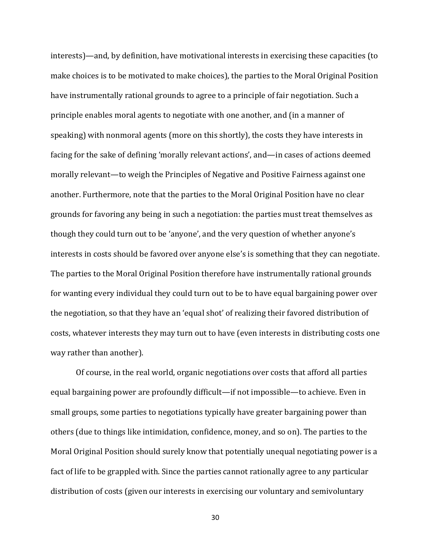interests)—and, by definition, have motivational interests in exercising these capacities (to make choices is to be motivated to make choices), the parties to the Moral Original Position have instrumentally rational grounds to agree to a principle of fair negotiation. Such a principle enables moral agents to negotiate with one another, and (in a manner of speaking) with nonmoral agents (more on this shortly), the costs they have interests in facing for the sake of defining 'morally relevant actions', and—in cases of actions deemed morally relevant—to weigh the Principles of Negative and Positive Fairness against one another. Furthermore, note that the parties to the Moral Original Position have no clear grounds for favoring any being in such a negotiation: the parties must treat themselves as though they could turn out to be 'anyone', and the very question of whether anyone's interests in costs should be favored over anyone else's is something that they can negotiate. The parties to the Moral Original Position therefore have instrumentally rational grounds for wanting every individual they could turn out to be to have equal bargaining power over the negotiation, so that they have an 'equal shot' of realizing their favored distribution of costs, whatever interests they may turn out to have (even interests in distributing costs one way rather than another).

Of course, in the real world, organic negotiations over costs that afford all parties equal bargaining power are profoundly difficult—if not impossible—to achieve. Even in small groups, some parties to negotiations typically have greater bargaining power than others (due to things like intimidation, confidence, money, and so on). The parties to the Moral Original Position should surely know that potentially unequal negotiating power is a fact of life to be grappled with. Since the parties cannot rationally agree to any particular distribution of costs (given our interests in exercising our voluntary and semivoluntary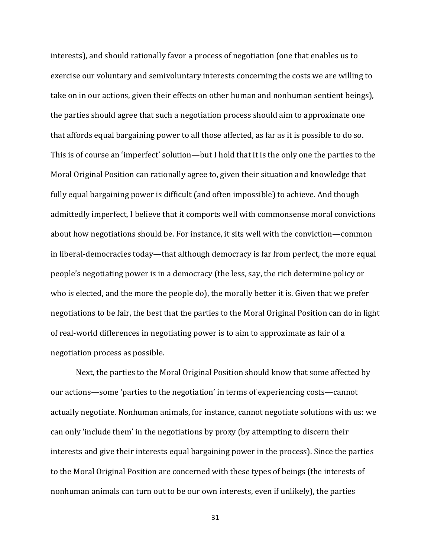interests), and should rationally favor a process of negotiation (one that enables us to exercise our voluntary and semivoluntary interests concerning the costs we are willing to take on in our actions, given their effects on other human and nonhuman sentient beings), the parties should agree that such a negotiation process should aim to approximate one that affords equal bargaining power to all those affected, as far as it is possible to do so. This is of course an 'imperfect' solution—but I hold that it is the only one the parties to the Moral Original Position can rationally agree to, given their situation and knowledge that fully equal bargaining power is difficult (and often impossible) to achieve. And though admittedly imperfect, I believe that it comports well with commonsense moral convictions about how negotiations should be. For instance, it sits well with the conviction—common in liberal-democracies today—that although democracy is far from perfect, the more equal people's negotiating power is in a democracy (the less, say, the rich determine policy or who is elected, and the more the people do), the morally better it is. Given that we prefer negotiations to be fair, the best that the parties to the Moral Original Position can do in light of real-world differences in negotiating power is to aim to approximate as fair of a negotiation process as possible.

Next, the parties to the Moral Original Position should know that some affected by our actions—some 'parties to the negotiation' in terms of experiencing costs—cannot actually negotiate. Nonhuman animals, for instance, cannot negotiate solutions with us: we can only 'include them' in the negotiations by proxy (by attempting to discern their interests and give their interests equal bargaining power in the process). Since the parties to the Moral Original Position are concerned with these types of beings (the interests of nonhuman animals can turn out to be our own interests, even if unlikely), the parties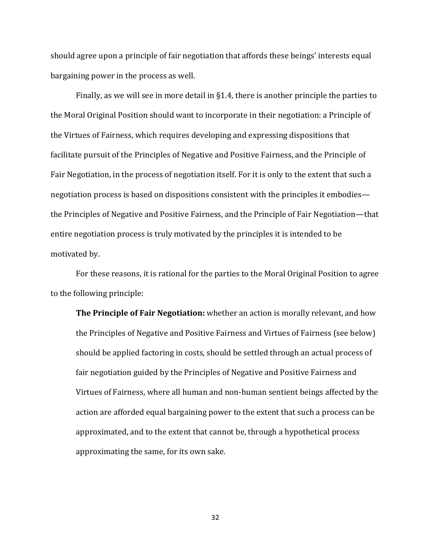should agree upon a principle of fair negotiation that affords these beings' interests equal bargaining power in the process as well.

Finally, as we will see in more detail in §1.4, there is another principle the parties to the Moral Original Position should want to incorporate in their negotiation: a Principle of the Virtues of Fairness, which requires developing and expressing dispositions that facilitate pursuit of the Principles of Negative and Positive Fairness, and the Principle of Fair Negotiation, in the process of negotiation itself. For it is only to the extent that such a negotiation process is based on dispositions consistent with the principles it embodies the Principles of Negative and Positive Fairness, and the Principle of Fair Negotiation—that entire negotiation process is truly motivated by the principles it is intended to be motivated by.

For these reasons, it is rational for the parties to the Moral Original Position to agree to the following principle:

**The Principle of Fair Negotiation:** whether an action is morally relevant, and how the Principles of Negative and Positive Fairness and Virtues of Fairness (see below) should be applied factoring in costs, should be settled through an actual process of fair negotiation guided by the Principles of Negative and Positive Fairness and Virtues of Fairness, where all human and non-human sentient beings affected by the action are afforded equal bargaining power to the extent that such a process can be approximated, and to the extent that cannot be, through a hypothetical process approximating the same, for its own sake.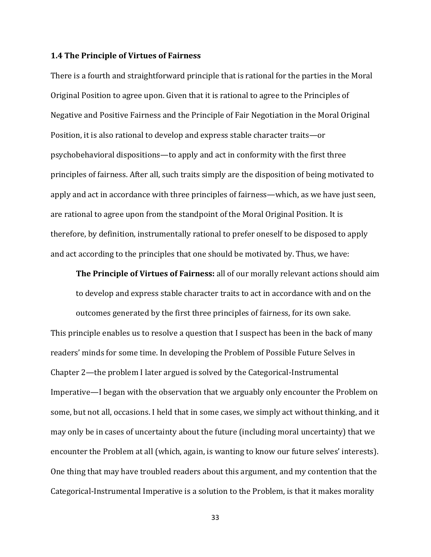#### **1.4 The Principle of Virtues of Fairness**

There is a fourth and straightforward principle that is rational for the parties in the Moral Original Position to agree upon. Given that it is rational to agree to the Principles of Negative and Positive Fairness and the Principle of Fair Negotiation in the Moral Original Position, it is also rational to develop and express stable character traits—or psychobehavioral dispositions—to apply and act in conformity with the first three principles of fairness. After all, such traits simply are the disposition of being motivated to apply and act in accordance with three principles of fairness—which, as we have just seen, are rational to agree upon from the standpoint of the Moral Original Position. It is therefore, by definition, instrumentally rational to prefer oneself to be disposed to apply and act according to the principles that one should be motivated by. Thus, we have:

**The Principle of Virtues of Fairness:** all of our morally relevant actions should aim to develop and express stable character traits to act in accordance with and on the

outcomes generated by the first three principles of fairness, for its own sake. This principle enables us to resolve a question that I suspect has been in the back of many readers' minds for some time. In developing the Problem of Possible Future Selves in Chapter 2—the problem I later argued is solved by the Categorical-Instrumental Imperative—I began with the observation that we arguably only encounter the Problem on some, but not all, occasions. I held that in some cases, we simply act without thinking, and it may only be in cases of uncertainty about the future (including moral uncertainty) that we encounter the Problem at all (which, again, is wanting to know our future selves' interests). One thing that may have troubled readers about this argument, and my contention that the Categorical-Instrumental Imperative is a solution to the Problem, is that it makes morality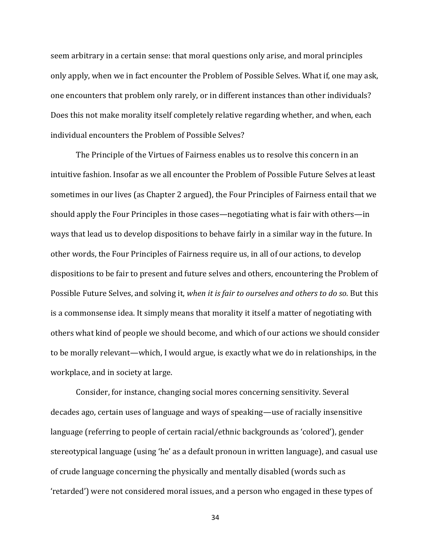seem arbitrary in a certain sense: that moral questions only arise, and moral principles only apply, when we in fact encounter the Problem of Possible Selves. What if, one may ask, one encounters that problem only rarely, or in different instances than other individuals? Does this not make morality itself completely relative regarding whether, and when, each individual encounters the Problem of Possible Selves?

The Principle of the Virtues of Fairness enables us to resolve this concern in an intuitive fashion. Insofar as we all encounter the Problem of Possible Future Selves at least sometimes in our lives (as Chapter 2 argued), the Four Principles of Fairness entail that we should apply the Four Principles in those cases—negotiating what is fair with others—in ways that lead us to develop dispositions to behave fairly in a similar way in the future. In other words, the Four Principles of Fairness require us, in all of our actions, to develop dispositions to be fair to present and future selves and others, encountering the Problem of Possible Future Selves, and solving it, *when it is fair to ourselves and others to do so*. But this is a commonsense idea. It simply means that morality it itself a matter of negotiating with others what kind of people we should become, and which of our actions we should consider to be morally relevant—which, I would argue, is exactly what we do in relationships, in the workplace, and in society at large.

Consider, for instance, changing social mores concerning sensitivity. Several decades ago, certain uses of language and ways of speaking—use of racially insensitive language (referring to people of certain racial/ethnic backgrounds as 'colored'), gender stereotypical language (using 'he' as a default pronoun in written language), and casual use of crude language concerning the physically and mentally disabled (words such as 'retarded') were not considered moral issues, and a person who engaged in these types of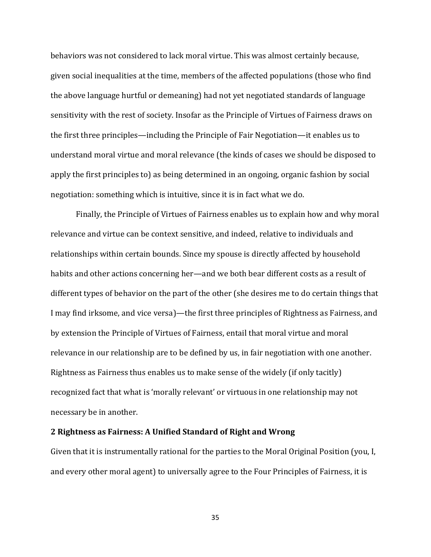behaviors was not considered to lack moral virtue. This was almost certainly because, given social inequalities at the time, members of the affected populations (those who find the above language hurtful or demeaning) had not yet negotiated standards of language sensitivity with the rest of society. Insofar as the Principle of Virtues of Fairness draws on the first three principles—including the Principle of Fair Negotiation—it enables us to understand moral virtue and moral relevance (the kinds of cases we should be disposed to apply the first principles to) as being determined in an ongoing, organic fashion by social negotiation: something which is intuitive, since it is in fact what we do.

Finally, the Principle of Virtues of Fairness enables us to explain how and why moral relevance and virtue can be context sensitive, and indeed, relative to individuals and relationships within certain bounds. Since my spouse is directly affected by household habits and other actions concerning her—and we both bear different costs as a result of different types of behavior on the part of the other (she desires me to do certain things that I may find irksome, and vice versa)—the first three principles of Rightness as Fairness, and by extension the Principle of Virtues of Fairness, entail that moral virtue and moral relevance in our relationship are to be defined by us, in fair negotiation with one another. Rightness as Fairness thus enables us to make sense of the widely (if only tacitly) recognized fact that what is 'morally relevant' or virtuous in one relationship may not necessary be in another.

## **2 Rightness as Fairness: A Unified Standard of Right and Wrong**

Given that it is instrumentally rational for the parties to the Moral Original Position (you, I, and every other moral agent) to universally agree to the Four Principles of Fairness, it is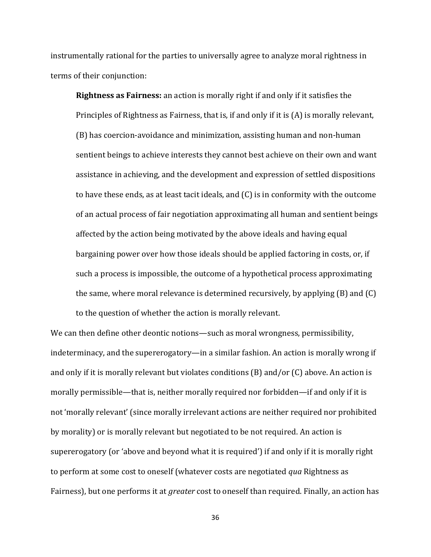instrumentally rational for the parties to universally agree to analyze moral rightness in terms of their conjunction:

**Rightness as Fairness:** an action is morally right if and only if it satisfies the Principles of Rightness as Fairness, that is, if and only if it is (A) is morally relevant, (B) has coercion-avoidance and minimization, assisting human and non-human sentient beings to achieve interests they cannot best achieve on their own and want assistance in achieving, and the development and expression of settled dispositions to have these ends, as at least tacit ideals, and (C) is in conformity with the outcome of an actual process of fair negotiation approximating all human and sentient beings affected by the action being motivated by the above ideals and having equal bargaining power over how those ideals should be applied factoring in costs, or, if such a process is impossible, the outcome of a hypothetical process approximating the same, where moral relevance is determined recursively, by applying (B) and (C) to the question of whether the action is morally relevant.

We can then define other deontic notions—such as moral wrongness, permissibility, indeterminacy, and the supererogatory—in a similar fashion. An action is morally wrong if and only if it is morally relevant but violates conditions (B) and/or (C) above. An action is morally permissible—that is, neither morally required nor forbidden—if and only if it is not 'morally relevant' (since morally irrelevant actions are neither required nor prohibited by morality) or is morally relevant but negotiated to be not required. An action is supererogatory (or 'above and beyond what it is required') if and only if it is morally right to perform at some cost to oneself (whatever costs are negotiated *qua* Rightness as Fairness), but one performs it at *greater* cost to oneself than required. Finally, an action has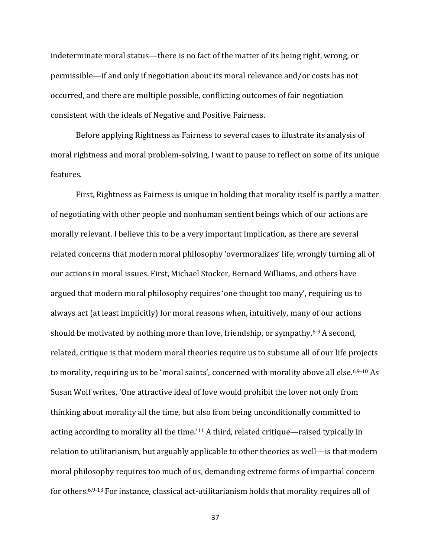indeterminate moral status—there is no fact of the matter of its being right, wrong, or permissible—if and only if negotiation about its moral relevance and/or costs has not occurred, and there are multiple possible, conflicting outcomes of fair negotiation consistent with the ideals of Negative and Positive Fairness.

Before applying Rightness as Fairness to several cases to illustrate its analysis of moral rightness and moral problem-solving, I want to pause to reflect on some of its unique features.

First, Rightness as Fairness is unique in holding that morality itself is partly a matter of negotiating with other people and nonhuman sentient beings which of our actions are morally relevant. I believe this to be a very important implication, as there are several related concerns that modern moral philosophy 'overmoralizes' life, wrongly turning all of our actions in moral issues. First, Michael Stocker, Bernard Williams, and others have argued that modern moral philosophy requires 'one thought too many', requiring us to always act (at least implicitly) for moral reasons when, intuitively, many of our actions should be motivated by nothing more than love, friendship, or sympathy.<sup>6-9</sup> A second, related, critique is that modern moral theories require us to subsume all of our life projects to morality, requiring us to be 'moral saints', concerned with morality above all else.<sup>6,9-10</sup> As Susan Wolf writes, 'One attractive ideal of love would prohibit the lover not only from thinking about morality all the time, but also from being unconditionally committed to acting according to morality all the time.'<sup>11</sup> A third, related critique—raised typically in relation to utilitarianism, but arguably applicable to other theories as well—is that modern moral philosophy requires too much of us, demanding extreme forms of impartial concern for others.<sup>6,9-13</sup> For instance, classical act-utilitarianism holds that morality requires all of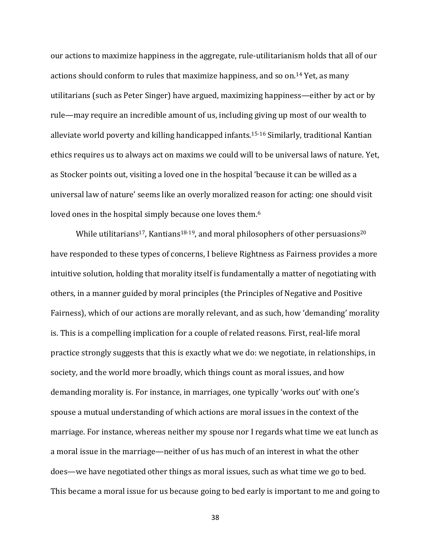our actions to maximize happiness in the aggregate, rule-utilitarianism holds that all of our actions should conform to rules that maximize happiness, and so on.<sup>14</sup> Yet, as many utilitarians (such as Peter Singer) have argued, maximizing happiness—either by act or by rule—may require an incredible amount of us, including giving up most of our wealth to alleviate world poverty and killing handicapped infants.15-16 Similarly, traditional Kantian ethics requires us to always act on maxims we could will to be universal laws of nature. Yet, as Stocker points out, visiting a loved one in the hospital 'because it can be willed as a universal law of nature' seems like an overly moralized reason for acting: one should visit loved ones in the hospital simply because one loves them.<sup>6</sup>

While utilitarians<sup>17</sup>, Kantians<sup>18-19</sup>, and moral philosophers of other persuasions<sup>20</sup> have responded to these types of concerns, I believe Rightness as Fairness provides a more intuitive solution, holding that morality itself is fundamentally a matter of negotiating with others, in a manner guided by moral principles (the Principles of Negative and Positive Fairness), which of our actions are morally relevant, and as such, how 'demanding' morality is. This is a compelling implication for a couple of related reasons. First, real-life moral practice strongly suggests that this is exactly what we do: we negotiate, in relationships, in society, and the world more broadly, which things count as moral issues, and how demanding morality is. For instance, in marriages, one typically 'works out' with one's spouse a mutual understanding of which actions are moral issues in the context of the marriage. For instance, whereas neither my spouse nor I regards what time we eat lunch as a moral issue in the marriage—neither of us has much of an interest in what the other does—we have negotiated other things as moral issues, such as what time we go to bed. This became a moral issue for us because going to bed early is important to me and going to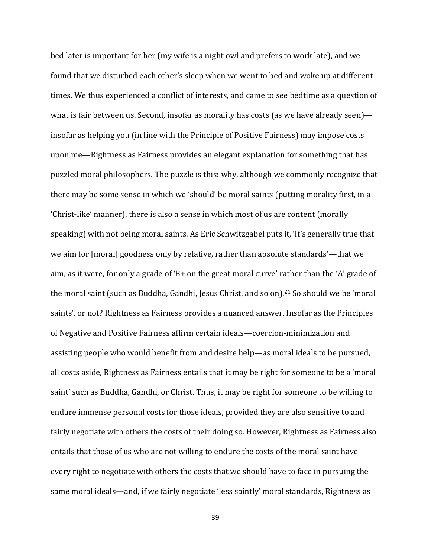bed later is important for her (my wife is a night owl and prefers to work late), and we found that we disturbed each other's sleep when we went to bed and woke up at different times. We thus experienced a conflict of interests, and came to see bedtime as a question of what is fair between us. Second, insofar as morality has costs (as we have already seen) insofar as helping you (in line with the Principle of Positive Fairness) may impose costs upon me—Rightness as Fairness provides an elegant explanation for something that has puzzled moral philosophers. The puzzle is this: why, although we commonly recognize that there may be some sense in which we 'should' be moral saints (putting morality first, in a 'Christ-like' manner), there is also a sense in which most of us are content (morally speaking) with not being moral saints. As Eric Schwitzgabel puts it, 'it's generally true that we aim for [moral] goodness only by relative, rather than absolute standards'—that we aim, as it were, for only a grade of 'B+ on the great moral curve' rather than the 'A' grade of the moral saint (such as Buddha, Gandhi, Jesus Christ, and so on).<sup>21</sup> So should we be 'moral saints', or not? Rightness as Fairness provides a nuanced answer. Insofar as the Principles of Negative and Positive Fairness affirm certain ideals—coercion-minimization and assisting people who would benefit from and desire help—as moral ideals to be pursued, all costs aside, Rightness as Fairness entails that it may be right for someone to be a 'moral saint' such as Buddha, Gandhi, or Christ. Thus, it may be right for someone to be willing to endure immense personal costs for those ideals, provided they are also sensitive to and fairly negotiate with others the costs of their doing so. However, Rightness as Fairness also entails that those of us who are not willing to endure the costs of the moral saint have every right to negotiate with others the costs that we should have to face in pursuing the same moral ideals—and, if we fairly negotiate 'less saintly' moral standards, Rightness as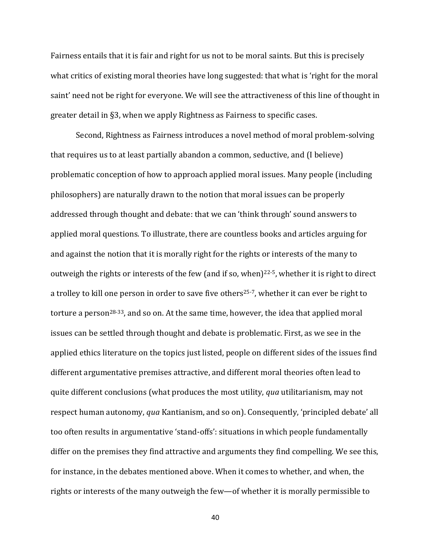Fairness entails that it is fair and right for us not to be moral saints. But this is precisely what critics of existing moral theories have long suggested: that what is 'right for the moral saint' need not be right for everyone. We will see the attractiveness of this line of thought in greater detail in §3, when we apply Rightness as Fairness to specific cases.

Second, Rightness as Fairness introduces a novel method of moral problem-solving that requires us to at least partially abandon a common, seductive, and (I believe) problematic conception of how to approach applied moral issues. Many people (including philosophers) are naturally drawn to the notion that moral issues can be properly addressed through thought and debate: that we can 'think through' sound answers to applied moral questions. To illustrate, there are countless books and articles arguing for and against the notion that it is morally right for the rights or interests of the many to outweigh the rights or interests of the few (and if so, when)<sup>22-5</sup>, whether it is right to direct a trolley to kill one person in order to save five others<sup>25-7</sup>, whether it can ever be right to torture a person<sup>28-33</sup>, and so on. At the same time, however, the idea that applied moral issues can be settled through thought and debate is problematic. First, as we see in the applied ethics literature on the topics just listed, people on different sides of the issues find different argumentative premises attractive, and different moral theories often lead to quite different conclusions (what produces the most utility, *qua* utilitarianism, may not respect human autonomy, *qua* Kantianism, and so on). Consequently, 'principled debate' all too often results in argumentative 'stand-offs': situations in which people fundamentally differ on the premises they find attractive and arguments they find compelling. We see this, for instance, in the debates mentioned above. When it comes to whether, and when, the rights or interests of the many outweigh the few—of whether it is morally permissible to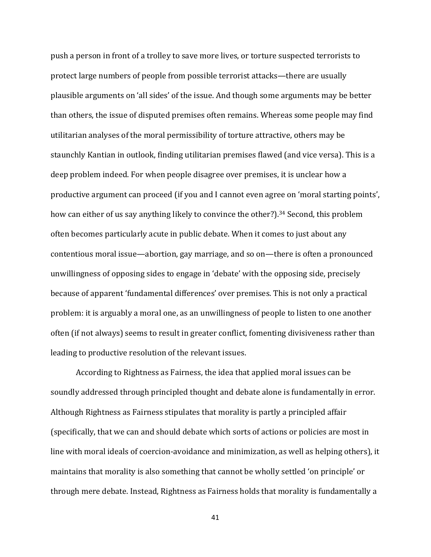push a person in front of a trolley to save more lives, or torture suspected terrorists to protect large numbers of people from possible terrorist attacks—there are usually plausible arguments on 'all sides' of the issue. And though some arguments may be better than others, the issue of disputed premises often remains. Whereas some people may find utilitarian analyses of the moral permissibility of torture attractive, others may be staunchly Kantian in outlook, finding utilitarian premises flawed (and vice versa). This is a deep problem indeed. For when people disagree over premises, it is unclear how a productive argument can proceed (if you and I cannot even agree on 'moral starting points', how can either of us say anything likely to convince the other?).<sup>34</sup> Second, this problem often becomes particularly acute in public debate. When it comes to just about any contentious moral issue—abortion, gay marriage, and so on—there is often a pronounced unwillingness of opposing sides to engage in 'debate' with the opposing side, precisely because of apparent 'fundamental differences' over premises. This is not only a practical problem: it is arguably a moral one, as an unwillingness of people to listen to one another often (if not always) seems to result in greater conflict, fomenting divisiveness rather than leading to productive resolution of the relevant issues.

According to Rightness as Fairness, the idea that applied moral issues can be soundly addressed through principled thought and debate alone is fundamentally in error. Although Rightness as Fairness stipulates that morality is partly a principled affair (specifically, that we can and should debate which sorts of actions or policies are most in line with moral ideals of coercion-avoidance and minimization, as well as helping others), it maintains that morality is also something that cannot be wholly settled 'on principle' or through mere debate. Instead, Rightness as Fairness holds that morality is fundamentally a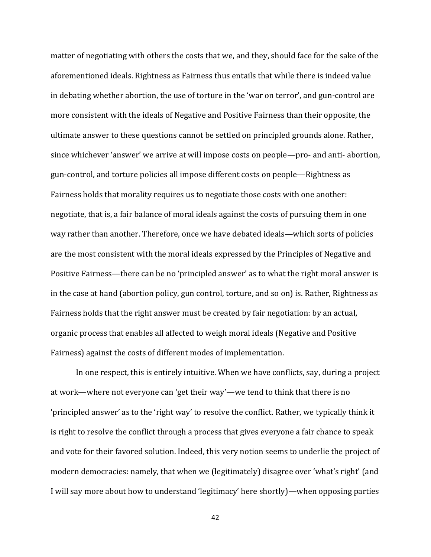matter of negotiating with others the costs that we, and they, should face for the sake of the aforementioned ideals. Rightness as Fairness thus entails that while there is indeed value in debating whether abortion, the use of torture in the 'war on terror', and gun-control are more consistent with the ideals of Negative and Positive Fairness than their opposite, the ultimate answer to these questions cannot be settled on principled grounds alone. Rather, since whichever 'answer' we arrive at will impose costs on people—pro- and anti- abortion, gun-control, and torture policies all impose different costs on people—Rightness as Fairness holds that morality requires us to negotiate those costs with one another: negotiate, that is, a fair balance of moral ideals against the costs of pursuing them in one way rather than another. Therefore, once we have debated ideals—which sorts of policies are the most consistent with the moral ideals expressed by the Principles of Negative and Positive Fairness—there can be no 'principled answer' as to what the right moral answer is in the case at hand (abortion policy, gun control, torture, and so on) is. Rather, Rightness as Fairness holds that the right answer must be created by fair negotiation: by an actual, organic process that enables all affected to weigh moral ideals (Negative and Positive Fairness) against the costs of different modes of implementation.

In one respect, this is entirely intuitive. When we have conflicts, say, during a project at work—where not everyone can 'get their way'—we tend to think that there is no 'principled answer' as to the 'right way' to resolve the conflict. Rather, we typically think it is right to resolve the conflict through a process that gives everyone a fair chance to speak and vote for their favored solution. Indeed, this very notion seems to underlie the project of modern democracies: namely, that when we (legitimately) disagree over 'what's right' (and I will say more about how to understand 'legitimacy' here shortly)—when opposing parties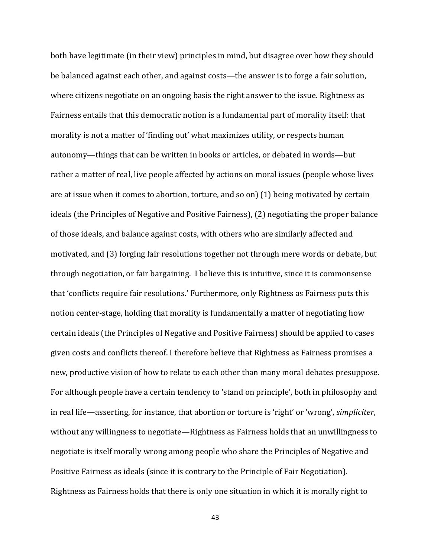both have legitimate (in their view) principles in mind, but disagree over how they should be balanced against each other, and against costs—the answer is to forge a fair solution, where citizens negotiate on an ongoing basis the right answer to the issue. Rightness as Fairness entails that this democratic notion is a fundamental part of morality itself: that morality is not a matter of 'finding out' what maximizes utility, or respects human autonomy—things that can be written in books or articles, or debated in words—but rather a matter of real, live people affected by actions on moral issues (people whose lives are at issue when it comes to abortion, torture, and so on) (1) being motivated by certain ideals (the Principles of Negative and Positive Fairness), (2) negotiating the proper balance of those ideals, and balance against costs, with others who are similarly affected and motivated, and (3) forging fair resolutions together not through mere words or debate, but through negotiation, or fair bargaining. I believe this is intuitive, since it is commonsense that 'conflicts require fair resolutions.' Furthermore, only Rightness as Fairness puts this notion center-stage, holding that morality is fundamentally a matter of negotiating how certain ideals (the Principles of Negative and Positive Fairness) should be applied to cases given costs and conflicts thereof. I therefore believe that Rightness as Fairness promises a new, productive vision of how to relate to each other than many moral debates presuppose. For although people have a certain tendency to 'stand on principle', both in philosophy and in real life—asserting, for instance, that abortion or torture is 'right' or 'wrong', *simpliciter*, without any willingness to negotiate—Rightness as Fairness holds that an unwillingness to negotiate is itself morally wrong among people who share the Principles of Negative and Positive Fairness as ideals (since it is contrary to the Principle of Fair Negotiation). Rightness as Fairness holds that there is only one situation in which it is morally right to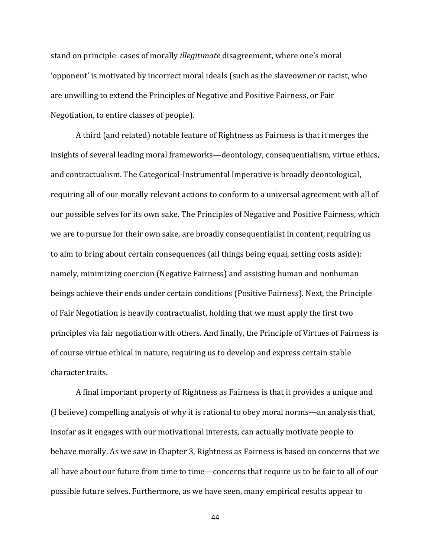stand on principle: cases of morally *illegitimate* disagreement, where one's moral 'opponent' is motivated by incorrect moral ideals (such as the slaveowner or racist, who are unwilling to extend the Principles of Negative and Positive Fairness, or Fair Negotiation, to entire classes of people).

A third (and related) notable feature of Rightness as Fairness is that it merges the insights of several leading moral frameworks—deontology, consequentialism, virtue ethics, and contractualism. The Categorical-Instrumental Imperative is broadly deontological, requiring all of our morally relevant actions to conform to a universal agreement with all of our possible selves for its own sake. The Principles of Negative and Positive Fairness, which we are to pursue for their own sake, are broadly consequentialist in content, requiring us to aim to bring about certain consequences (all things being equal, setting costs aside): namely, minimizing coercion (Negative Fairness) and assisting human and nonhuman beings achieve their ends under certain conditions (Positive Fairness). Next, the Principle of Fair Negotiation is heavily contractualist, holding that we must apply the first two principles via fair negotiation with others. And finally, the Principle of Virtues of Fairness is of course virtue ethical in nature, requiring us to develop and express certain stable character traits.

A final important property of Rightness as Fairness is that it provides a unique and (I believe) compelling analysis of why it is rational to obey moral norms—an analysis that, insofar as it engages with our motivational interests, can actually motivate people to behave morally. As we saw in Chapter 3, Rightness as Fairness is based on concerns that we all have about our future from time to time—concerns that require us to be fair to all of our possible future selves. Furthermore, as we have seen, many empirical results appear to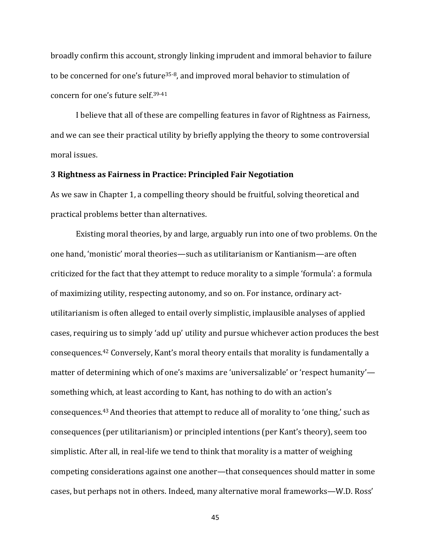broadly confirm this account, strongly linking imprudent and immoral behavior to failure to be concerned for one's future35-8, and improved moral behavior to stimulation of concern for one's future self.39-41

I believe that all of these are compelling features in favor of Rightness as Fairness, and we can see their practical utility by briefly applying the theory to some controversial moral issues.

## **3 Rightness as Fairness in Practice: Principled Fair Negotiation**

As we saw in Chapter 1, a compelling theory should be fruitful, solving theoretical and practical problems better than alternatives.

Existing moral theories, by and large, arguably run into one of two problems. On the one hand, 'monistic' moral theories—such as utilitarianism or Kantianism—are often criticized for the fact that they attempt to reduce morality to a simple 'formula': a formula of maximizing utility, respecting autonomy, and so on. For instance, ordinary actutilitarianism is often alleged to entail overly simplistic, implausible analyses of applied cases, requiring us to simply 'add up' utility and pursue whichever action produces the best consequences. <sup>42</sup> Conversely, Kant's moral theory entails that morality is fundamentally a matter of determining which of one's maxims are 'universalizable' or 'respect humanity' something which, at least according to Kant, has nothing to do with an action's consequences.43 And theories that attempt to reduce all of morality to 'one thing,' such as consequences (per utilitarianism) or principled intentions (per Kant's theory), seem too simplistic. After all, in real-life we tend to think that morality is a matter of weighing competing considerations against one another—that consequences should matter in some cases, but perhaps not in others. Indeed, many alternative moral frameworks—W.D. Ross'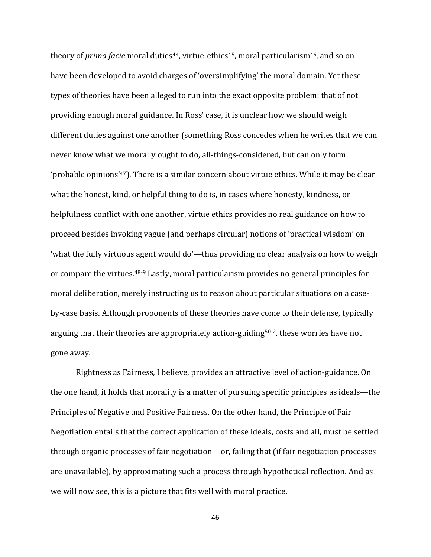theory of *prima facie* moral duties<sup>44</sup>, virtue-ethics<sup>45</sup>, moral particularism<sup>46</sup>, and so on have been developed to avoid charges of 'oversimplifying' the moral domain. Yet these types of theories have been alleged to run into the exact opposite problem: that of not providing enough moral guidance. In Ross' case, it is unclear how we should weigh different duties against one another (something Ross concedes when he writes that we can never know what we morally ought to do, all-things-considered, but can only form 'probable opinions'47). There is a similar concern about virtue ethics. While it may be clear what the honest, kind, or helpful thing to do is, in cases where honesty, kindness, or helpfulness conflict with one another, virtue ethics provides no real guidance on how to proceed besides invoking vague (and perhaps circular) notions of 'practical wisdom' on 'what the fully virtuous agent would do'—thus providing no clear analysis on how to weigh or compare the virtues.48-9 Lastly, moral particularism provides no general principles for moral deliberation, merely instructing us to reason about particular situations on a caseby-case basis. Although proponents of these theories have come to their defense, typically arguing that their theories are appropriately action-guiding50-2, these worries have not gone away.

Rightness as Fairness, I believe, provides an attractive level of action-guidance. On the one hand, it holds that morality is a matter of pursuing specific principles as ideals—the Principles of Negative and Positive Fairness. On the other hand, the Principle of Fair Negotiation entails that the correct application of these ideals, costs and all, must be settled through organic processes of fair negotiation—or, failing that (if fair negotiation processes are unavailable), by approximating such a process through hypothetical reflection. And as we will now see, this is a picture that fits well with moral practice.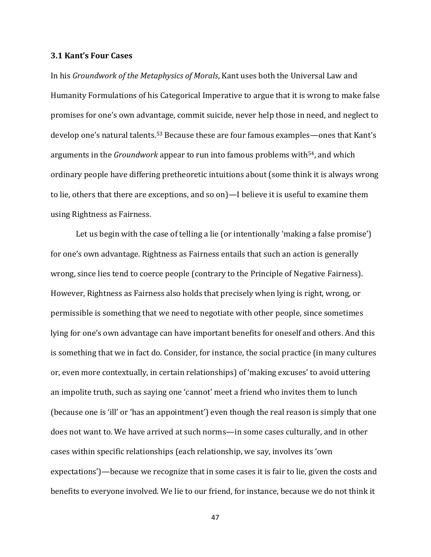## **3.1 Kant's Four Cases**

In his *Groundwork of the Metaphysics of Morals*, Kant uses both the Universal Law and Humanity Formulations of his Categorical Imperative to argue that it is wrong to make false promises for one's own advantage, commit suicide, never help those in need, and neglect to develop one's natural talents.<sup>53</sup> Because these are four famous examples—ones that Kant's arguments in the *Groundwork* appear to run into famous problems with<sup>54</sup>, and which ordinary people have differing pretheoretic intuitions about (some think it is always wrong to lie, others that there are exceptions, and so on)—I believe it is useful to examine them using Rightness as Fairness.

Let us begin with the case of telling a lie (or intentionally 'making a false promise') for one's own advantage. Rightness as Fairness entails that such an action is generally wrong, since lies tend to coerce people (contrary to the Principle of Negative Fairness). However, Rightness as Fairness also holds that precisely when lying is right, wrong, or permissible is something that we need to negotiate with other people, since sometimes lying for one's own advantage can have important benefits for oneself and others. And this is something that we in fact do. Consider, for instance, the social practice (in many cultures or, even more contextually, in certain relationships) of 'making excuses' to avoid uttering an impolite truth, such as saying one 'cannot' meet a friend who invites them to lunch (because one is 'ill' or 'has an appointment') even though the real reason is simply that one does not want to. We have arrived at such norms—in some cases culturally, and in other cases within specific relationships (each relationship, we say, involves its 'own expectations')—because we recognize that in some cases it is fair to lie, given the costs and benefits to everyone involved. We lie to our friend, for instance, because we do not think it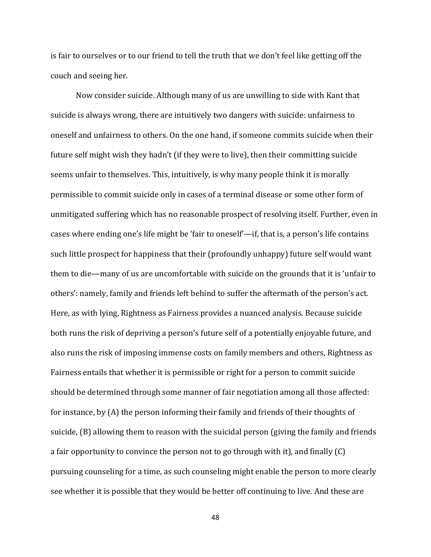is fair to ourselves or to our friend to tell the truth that we don't feel like getting off the couch and seeing her.

Now consider suicide. Although many of us are unwilling to side with Kant that suicide is always wrong, there are intuitively two dangers with suicide: unfairness to oneself and unfairness to others. On the one hand, if someone commits suicide when their future self might wish they hadn't (if they were to live), then their committing suicide seems unfair to themselves. This, intuitively, is why many people think it is morally permissible to commit suicide only in cases of a terminal disease or some other form of unmitigated suffering which has no reasonable prospect of resolving itself. Further, even in cases where ending one's life might be 'fair to oneself'—if, that is, a person's life contains such little prospect for happiness that their (profoundly unhappy) future self would want them to die—many of us are uncomfortable with suicide on the grounds that it is 'unfair to others': namely, family and friends left behind to suffer the aftermath of the person's act. Here, as with lying, Rightness as Fairness provides a nuanced analysis. Because suicide both runs the risk of depriving a person's future self of a potentially enjoyable future, and also runs the risk of imposing immense costs on family members and others, Rightness as Fairness entails that whether it is permissible or right for a person to commit suicide should be determined through some manner of fair negotiation among all those affected: for instance, by (A) the person informing their family and friends of their thoughts of suicide, (B) allowing them to reason with the suicidal person (giving the family and friends a fair opportunity to convince the person not to go through with it), and finally (C) pursuing counseling for a time, as such counseling might enable the person to more clearly see whether it is possible that they would be better off continuing to live. And these are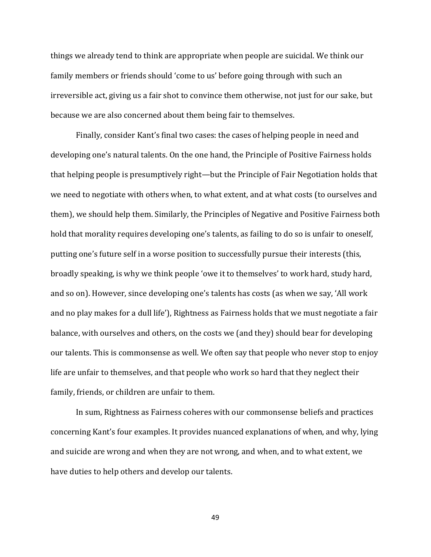things we already tend to think are appropriate when people are suicidal. We think our family members or friends should 'come to us' before going through with such an irreversible act, giving us a fair shot to convince them otherwise, not just for our sake, but because we are also concerned about them being fair to themselves.

Finally, consider Kant's final two cases: the cases of helping people in need and developing one's natural talents. On the one hand, the Principle of Positive Fairness holds that helping people is presumptively right—but the Principle of Fair Negotiation holds that we need to negotiate with others when, to what extent, and at what costs (to ourselves and them), we should help them. Similarly, the Principles of Negative and Positive Fairness both hold that morality requires developing one's talents, as failing to do so is unfair to oneself, putting one's future self in a worse position to successfully pursue their interests (this, broadly speaking, is why we think people 'owe it to themselves' to work hard, study hard, and so on). However, since developing one's talents has costs (as when we say, 'All work and no play makes for a dull life'), Rightness as Fairness holds that we must negotiate a fair balance, with ourselves and others, on the costs we (and they) should bear for developing our talents. This is commonsense as well. We often say that people who never stop to enjoy life are unfair to themselves, and that people who work so hard that they neglect their family, friends, or children are unfair to them.

In sum, Rightness as Fairness coheres with our commonsense beliefs and practices concerning Kant's four examples. It provides nuanced explanations of when, and why, lying and suicide are wrong and when they are not wrong, and when, and to what extent, we have duties to help others and develop our talents.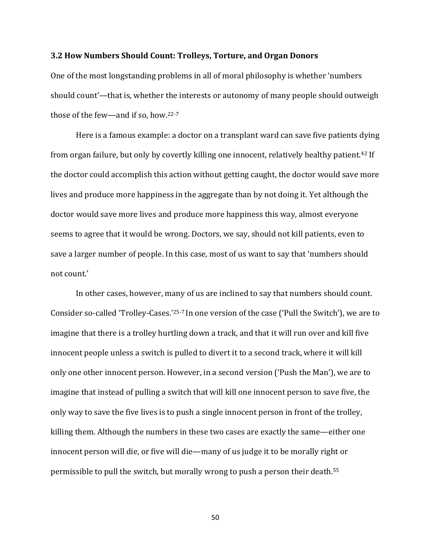#### **3.2 How Numbers Should Count: Trolleys, Torture, and Organ Donors**

One of the most longstanding problems in all of moral philosophy is whether 'numbers should count'—that is, whether the interests or autonomy of many people should outweigh those of the few—and if so, how.22-7

Here is a famous example: a doctor on a transplant ward can save five patients dying from organ failure, but only by covertly killing one innocent, relatively healthy patient.<sup>42</sup> If the doctor could accomplish this action without getting caught, the doctor would save more lives and produce more happiness in the aggregate than by not doing it. Yet although the doctor would save more lives and produce more happiness this way, almost everyone seems to agree that it would be wrong. Doctors, we say, should not kill patients, even to save a larger number of people. In this case, most of us want to say that 'numbers should not count.'

In other cases, however, many of us are inclined to say that numbers should count. Consider so-called 'Trolley-Cases.'25-7 In one version of the case ('Pull the Switch'), we are to imagine that there is a trolley hurtling down a track, and that it will run over and kill five innocent people unless a switch is pulled to divert it to a second track, where it will kill only one other innocent person. However, in a second version ('Push the Man'), we are to imagine that instead of pulling a switch that will kill one innocent person to save five, the only way to save the five lives is to push a single innocent person in front of the trolley, killing them. Although the numbers in these two cases are exactly the same—either one innocent person will die, or five will die—many of us judge it to be morally right or permissible to pull the switch, but morally wrong to push a person their death.<sup>55</sup>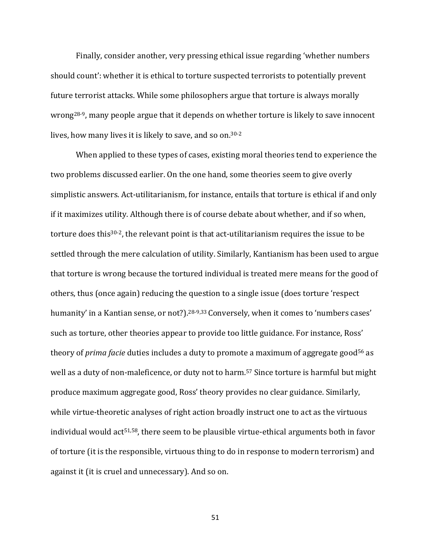Finally, consider another, very pressing ethical issue regarding 'whether numbers should count': whether it is ethical to torture suspected terrorists to potentially prevent future terrorist attacks. While some philosophers argue that torture is always morally wrong<sup>28-9</sup>, many people argue that it depends on whether torture is likely to save innocent lives, how many lives it is likely to save, and so on.<sup>30-2</sup>

When applied to these types of cases, existing moral theories tend to experience the two problems discussed earlier. On the one hand, some theories seem to give overly simplistic answers. Act-utilitarianism, for instance, entails that torture is ethical if and only if it maximizes utility. Although there is of course debate about whether, and if so when, torture does this30-2, the relevant point is that act-utilitarianism requires the issue to be settled through the mere calculation of utility. Similarly, Kantianism has been used to argue that torture is wrong because the tortured individual is treated mere means for the good of others, thus (once again) reducing the question to a single issue (does torture 'respect humanity' in a Kantian sense, or not?).<sup>28-9,33</sup> Conversely, when it comes to 'numbers cases' such as torture, other theories appear to provide too little guidance. For instance, Ross' theory of *prima facie* duties includes a duty to promote a maximum of aggregate good<sup>56</sup> as well as a duty of non-maleficence, or duty not to harm.<sup>57</sup> Since torture is harmful but might produce maximum aggregate good, Ross' theory provides no clear guidance. Similarly, while virtue-theoretic analyses of right action broadly instruct one to act as the virtuous individual would act<sup>51,58</sup>, there seem to be plausible virtue-ethical arguments both in favor of torture (it is the responsible, virtuous thing to do in response to modern terrorism) and against it (it is cruel and unnecessary). And so on.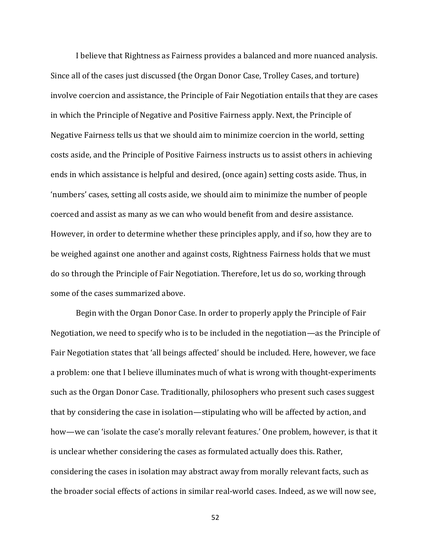I believe that Rightness as Fairness provides a balanced and more nuanced analysis. Since all of the cases just discussed (the Organ Donor Case, Trolley Cases, and torture) involve coercion and assistance, the Principle of Fair Negotiation entails that they are cases in which the Principle of Negative and Positive Fairness apply. Next, the Principle of Negative Fairness tells us that we should aim to minimize coercion in the world, setting costs aside, and the Principle of Positive Fairness instructs us to assist others in achieving ends in which assistance is helpful and desired, (once again) setting costs aside. Thus, in 'numbers' cases, setting all costs aside, we should aim to minimize the number of people coerced and assist as many as we can who would benefit from and desire assistance. However, in order to determine whether these principles apply, and if so, how they are to be weighed against one another and against costs, Rightness Fairness holds that we must do so through the Principle of Fair Negotiation. Therefore, let us do so, working through some of the cases summarized above.

Begin with the Organ Donor Case. In order to properly apply the Principle of Fair Negotiation, we need to specify who is to be included in the negotiation—as the Principle of Fair Negotiation states that 'all beings affected' should be included. Here, however, we face a problem: one that I believe illuminates much of what is wrong with thought-experiments such as the Organ Donor Case. Traditionally, philosophers who present such cases suggest that by considering the case in isolation—stipulating who will be affected by action, and how—we can 'isolate the case's morally relevant features.' One problem, however, is that it is unclear whether considering the cases as formulated actually does this. Rather, considering the cases in isolation may abstract away from morally relevant facts, such as the broader social effects of actions in similar real-world cases. Indeed, as we will now see,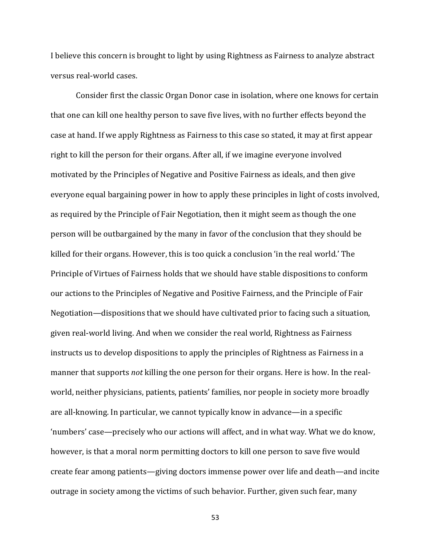I believe this concern is brought to light by using Rightness as Fairness to analyze abstract versus real-world cases.

Consider first the classic Organ Donor case in isolation, where one knows for certain that one can kill one healthy person to save five lives, with no further effects beyond the case at hand. If we apply Rightness as Fairness to this case so stated, it may at first appear right to kill the person for their organs. After all, if we imagine everyone involved motivated by the Principles of Negative and Positive Fairness as ideals, and then give everyone equal bargaining power in how to apply these principles in light of costs involved, as required by the Principle of Fair Negotiation, then it might seem as though the one person will be outbargained by the many in favor of the conclusion that they should be killed for their organs. However, this is too quick a conclusion 'in the real world.' The Principle of Virtues of Fairness holds that we should have stable dispositions to conform our actions to the Principles of Negative and Positive Fairness, and the Principle of Fair Negotiation—dispositions that we should have cultivated prior to facing such a situation, given real-world living. And when we consider the real world, Rightness as Fairness instructs us to develop dispositions to apply the principles of Rightness as Fairness in a manner that supports *not* killing the one person for their organs. Here is how. In the realworld, neither physicians, patients, patients' families, nor people in society more broadly are all-knowing. In particular, we cannot typically know in advance—in a specific 'numbers' case—precisely who our actions will affect, and in what way. What we do know, however, is that a moral norm permitting doctors to kill one person to save five would create fear among patients—giving doctors immense power over life and death—and incite outrage in society among the victims of such behavior. Further, given such fear, many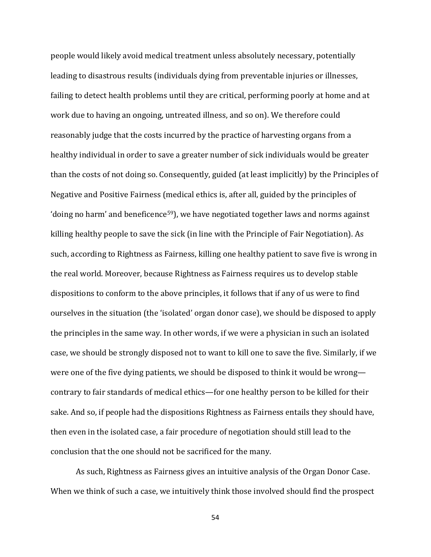people would likely avoid medical treatment unless absolutely necessary, potentially leading to disastrous results (individuals dying from preventable injuries or illnesses, failing to detect health problems until they are critical, performing poorly at home and at work due to having an ongoing, untreated illness, and so on). We therefore could reasonably judge that the costs incurred by the practice of harvesting organs from a healthy individual in order to save a greater number of sick individuals would be greater than the costs of not doing so. Consequently, guided (at least implicitly) by the Principles of Negative and Positive Fairness (medical ethics is, after all, guided by the principles of 'doing no harm' and beneficence<sup>59</sup>), we have negotiated together laws and norms against killing healthy people to save the sick (in line with the Principle of Fair Negotiation). As such, according to Rightness as Fairness, killing one healthy patient to save five is wrong in the real world. Moreover, because Rightness as Fairness requires us to develop stable dispositions to conform to the above principles, it follows that if any of us were to find ourselves in the situation (the 'isolated' organ donor case), we should be disposed to apply the principles in the same way. In other words, if we were a physician in such an isolated case, we should be strongly disposed not to want to kill one to save the five. Similarly, if we were one of the five dying patients, we should be disposed to think it would be wrong contrary to fair standards of medical ethics—for one healthy person to be killed for their sake. And so, if people had the dispositions Rightness as Fairness entails they should have, then even in the isolated case, a fair procedure of negotiation should still lead to the conclusion that the one should not be sacrificed for the many.

As such, Rightness as Fairness gives an intuitive analysis of the Organ Donor Case. When we think of such a case, we intuitively think those involved should find the prospect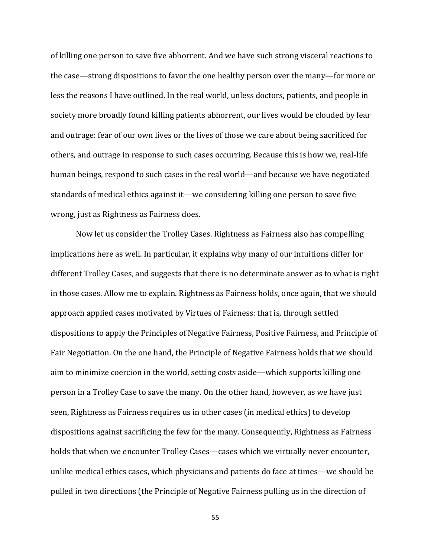of killing one person to save five abhorrent. And we have such strong visceral reactions to the case—strong dispositions to favor the one healthy person over the many—for more or less the reasons I have outlined. In the real world, unless doctors, patients, and people in society more broadly found killing patients abhorrent, our lives would be clouded by fear and outrage: fear of our own lives or the lives of those we care about being sacrificed for others, and outrage in response to such cases occurring. Because this is how we, real-life human beings, respond to such cases in the real world—and because we have negotiated standards of medical ethics against it—we considering killing one person to save five wrong, just as Rightness as Fairness does.

Now let us consider the Trolley Cases. Rightness as Fairness also has compelling implications here as well. In particular, it explains why many of our intuitions differ for different Trolley Cases, and suggests that there is no determinate answer as to what is right in those cases. Allow me to explain. Rightness as Fairness holds, once again, that we should approach applied cases motivated by Virtues of Fairness: that is, through settled dispositions to apply the Principles of Negative Fairness, Positive Fairness, and Principle of Fair Negotiation. On the one hand, the Principle of Negative Fairness holds that we should aim to minimize coercion in the world, setting costs aside—which supports killing one person in a Trolley Case to save the many. On the other hand, however, as we have just seen, Rightness as Fairness requires us in other cases (in medical ethics) to develop dispositions against sacrificing the few for the many. Consequently, Rightness as Fairness holds that when we encounter Trolley Cases—cases which we virtually never encounter, unlike medical ethics cases, which physicians and patients do face at times—we should be pulled in two directions (the Principle of Negative Fairness pulling us in the direction of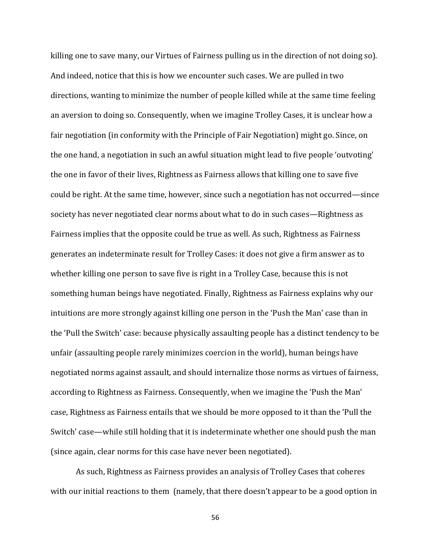killing one to save many, our Virtues of Fairness pulling us in the direction of not doing so). And indeed, notice that this is how we encounter such cases. We are pulled in two directions, wanting to minimize the number of people killed while at the same time feeling an aversion to doing so. Consequently, when we imagine Trolley Cases, it is unclear how a fair negotiation (in conformity with the Principle of Fair Negotiation) might go. Since, on the one hand, a negotiation in such an awful situation might lead to five people 'outvoting' the one in favor of their lives, Rightness as Fairness allows that killing one to save five could be right. At the same time, however, since such a negotiation has not occurred—since society has never negotiated clear norms about what to do in such cases—Rightness as Fairness implies that the opposite could be true as well. As such, Rightness as Fairness generates an indeterminate result for Trolley Cases: it does not give a firm answer as to whether killing one person to save five is right in a Trolley Case, because this is not something human beings have negotiated. Finally, Rightness as Fairness explains why our intuitions are more strongly against killing one person in the 'Push the Man' case than in the 'Pull the Switch' case: because physically assaulting people has a distinct tendency to be unfair (assaulting people rarely minimizes coercion in the world), human beings have negotiated norms against assault, and should internalize those norms as virtues of fairness, according to Rightness as Fairness. Consequently, when we imagine the 'Push the Man' case, Rightness as Fairness entails that we should be more opposed to it than the 'Pull the Switch' case—while still holding that it is indeterminate whether one should push the man (since again, clear norms for this case have never been negotiated).

As such, Rightness as Fairness provides an analysis of Trolley Cases that coheres with our initial reactions to them (namely, that there doesn't appear to be a good option in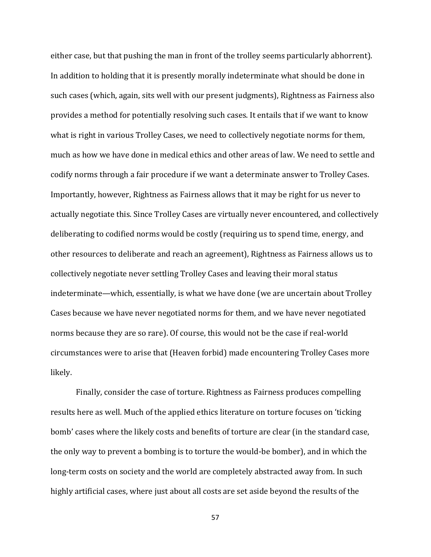either case, but that pushing the man in front of the trolley seems particularly abhorrent). In addition to holding that it is presently morally indeterminate what should be done in such cases (which, again, sits well with our present judgments), Rightness as Fairness also provides a method for potentially resolving such cases. It entails that if we want to know what is right in various Trolley Cases, we need to collectively negotiate norms for them, much as how we have done in medical ethics and other areas of law. We need to settle and codify norms through a fair procedure if we want a determinate answer to Trolley Cases. Importantly, however, Rightness as Fairness allows that it may be right for us never to actually negotiate this. Since Trolley Cases are virtually never encountered, and collectively deliberating to codified norms would be costly (requiring us to spend time, energy, and other resources to deliberate and reach an agreement), Rightness as Fairness allows us to collectively negotiate never settling Trolley Cases and leaving their moral status indeterminate—which, essentially, is what we have done (we are uncertain about Trolley Cases because we have never negotiated norms for them, and we have never negotiated norms because they are so rare). Of course, this would not be the case if real-world circumstances were to arise that (Heaven forbid) made encountering Trolley Cases more likely.

Finally, consider the case of torture. Rightness as Fairness produces compelling results here as well. Much of the applied ethics literature on torture focuses on 'ticking bomb' cases where the likely costs and benefits of torture are clear (in the standard case, the only way to prevent a bombing is to torture the would-be bomber), and in which the long-term costs on society and the world are completely abstracted away from. In such highly artificial cases, where just about all costs are set aside beyond the results of the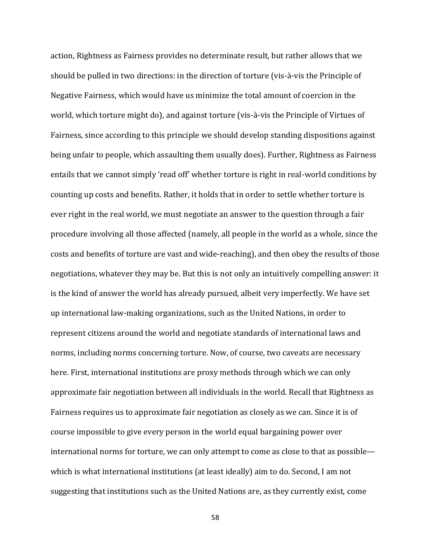action, Rightness as Fairness provides no determinate result, but rather allows that we should be pulled in two directions: in the direction of torture (vis-à-vis the Principle of Negative Fairness, which would have us minimize the total amount of coercion in the world, which torture might do), and against torture (vis-à-vis the Principle of Virtues of Fairness, since according to this principle we should develop standing dispositions against being unfair to people, which assaulting them usually does). Further, Rightness as Fairness entails that we cannot simply 'read off' whether torture is right in real-world conditions by counting up costs and benefits. Rather, it holds that in order to settle whether torture is ever right in the real world, we must negotiate an answer to the question through a fair procedure involving all those affected (namely, all people in the world as a whole, since the costs and benefits of torture are vast and wide-reaching), and then obey the results of those negotiations, whatever they may be. But this is not only an intuitively compelling answer: it is the kind of answer the world has already pursued, albeit very imperfectly. We have set up international law-making organizations, such as the United Nations, in order to represent citizens around the world and negotiate standards of international laws and norms, including norms concerning torture. Now, of course, two caveats are necessary here. First, international institutions are proxy methods through which we can only approximate fair negotiation between all individuals in the world. Recall that Rightness as Fairness requires us to approximate fair negotiation as closely as we can. Since it is of course impossible to give every person in the world equal bargaining power over international norms for torture, we can only attempt to come as close to that as possible which is what international institutions (at least ideally) aim to do. Second, I am not suggesting that institutions such as the United Nations are, as they currently exist, come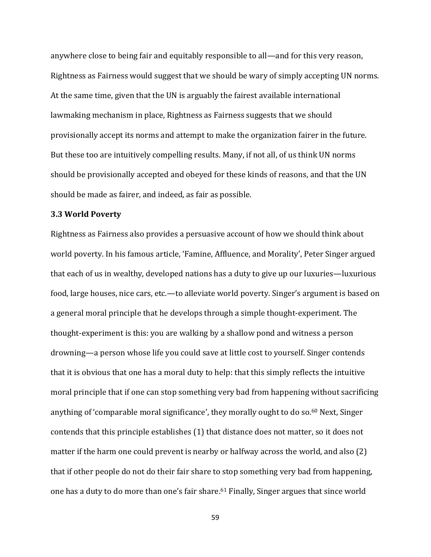anywhere close to being fair and equitably responsible to all—and for this very reason, Rightness as Fairness would suggest that we should be wary of simply accepting UN norms. At the same time, given that the UN is arguably the fairest available international lawmaking mechanism in place, Rightness as Fairness suggests that we should provisionally accept its norms and attempt to make the organization fairer in the future. But these too are intuitively compelling results. Many, if not all, of us think UN norms should be provisionally accepted and obeyed for these kinds of reasons, and that the UN should be made as fairer, and indeed, as fair as possible.

## **3.3 World Poverty**

Rightness as Fairness also provides a persuasive account of how we should think about world poverty. In his famous article, 'Famine, Affluence, and Morality', Peter Singer argued that each of us in wealthy, developed nations has a duty to give up our luxuries—luxurious food, large houses, nice cars, etc.—to alleviate world poverty. Singer's argument is based on a general moral principle that he develops through a simple thought-experiment. The thought-experiment is this: you are walking by a shallow pond and witness a person drowning—a person whose life you could save at little cost to yourself. Singer contends that it is obvious that one has a moral duty to help: that this simply reflects the intuitive moral principle that if one can stop something very bad from happening without sacrificing anything of 'comparable moral significance', they morally ought to do so.<sup>60</sup> Next, Singer contends that this principle establishes (1) that distance does not matter, so it does not matter if the harm one could prevent is nearby or halfway across the world, and also (2) that if other people do not do their fair share to stop something very bad from happening, one has a duty to do more than one's fair share. <sup>61</sup> Finally, Singer argues that since world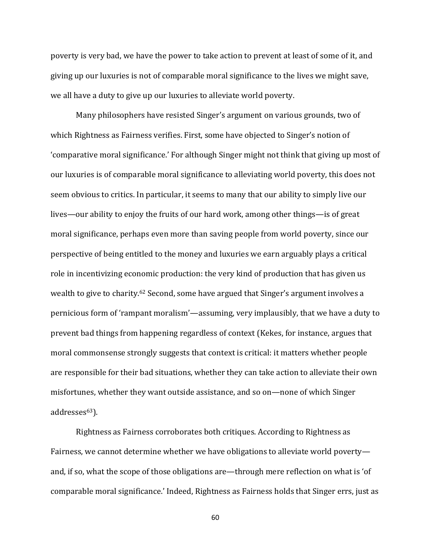poverty is very bad, we have the power to take action to prevent at least of some of it, and giving up our luxuries is not of comparable moral significance to the lives we might save, we all have a duty to give up our luxuries to alleviate world poverty.

Many philosophers have resisted Singer's argument on various grounds, two of which Rightness as Fairness verifies. First, some have objected to Singer's notion of 'comparative moral significance.' For although Singer might not think that giving up most of our luxuries is of comparable moral significance to alleviating world poverty, this does not seem obvious to critics. In particular, it seems to many that our ability to simply live our lives—our ability to enjoy the fruits of our hard work, among other things—is of great moral significance, perhaps even more than saving people from world poverty, since our perspective of being entitled to the money and luxuries we earn arguably plays a critical role in incentivizing economic production: the very kind of production that has given us wealth to give to charity.<sup>62</sup> Second, some have argued that Singer's argument involves a pernicious form of 'rampant moralism'—assuming, very implausibly, that we have a duty to prevent bad things from happening regardless of context (Kekes, for instance, argues that moral commonsense strongly suggests that context is critical: it matters whether people are responsible for their bad situations, whether they can take action to alleviate their own misfortunes, whether they want outside assistance, and so on—none of which Singer addresses<sup>63</sup>).

Rightness as Fairness corroborates both critiques. According to Rightness as Fairness, we cannot determine whether we have obligations to alleviate world poverty and, if so, what the scope of those obligations are—through mere reflection on what is 'of comparable moral significance.' Indeed, Rightness as Fairness holds that Singer errs, just as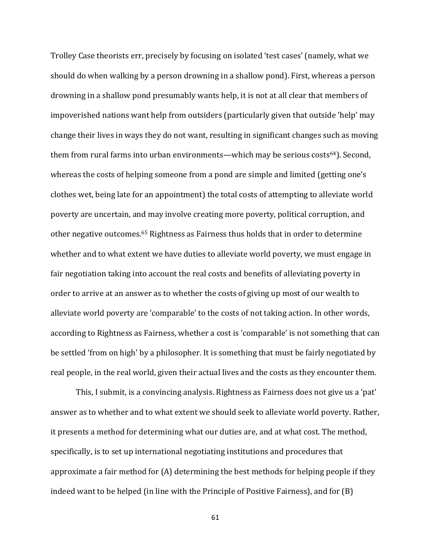Trolley Case theorists err, precisely by focusing on isolated 'test cases' (namely, what we should do when walking by a person drowning in a shallow pond). First, whereas a person drowning in a shallow pond presumably wants help, it is not at all clear that members of impoverished nations want help from outsiders (particularly given that outside 'help' may change their lives in ways they do not want, resulting in significant changes such as moving them from rural farms into urban environments—which may be serious costs<sup>64</sup>). Second, whereas the costs of helping someone from a pond are simple and limited (getting one's clothes wet, being late for an appointment) the total costs of attempting to alleviate world poverty are uncertain, and may involve creating more poverty, political corruption, and other negative outcomes.<sup>65</sup> Rightness as Fairness thus holds that in order to determine whether and to what extent we have duties to alleviate world poverty, we must engage in fair negotiation taking into account the real costs and benefits of alleviating poverty in order to arrive at an answer as to whether the costs of giving up most of our wealth to alleviate world poverty are 'comparable' to the costs of not taking action. In other words, according to Rightness as Fairness, whether a cost is 'comparable' is not something that can be settled 'from on high' by a philosopher. It is something that must be fairly negotiated by real people, in the real world, given their actual lives and the costs as they encounter them.

This, I submit, is a convincing analysis. Rightness as Fairness does not give us a 'pat' answer as to whether and to what extent we should seek to alleviate world poverty. Rather, it presents a method for determining what our duties are, and at what cost. The method, specifically, is to set up international negotiating institutions and procedures that approximate a fair method for (A) determining the best methods for helping people if they indeed want to be helped (in line with the Principle of Positive Fairness), and for (B)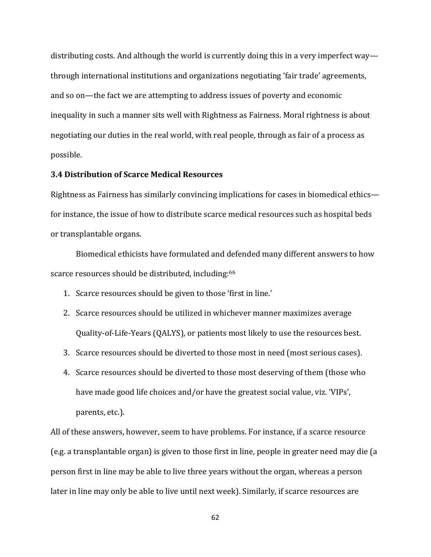distributing costs. And although the world is currently doing this in a very imperfect way through international institutions and organizations negotiating 'fair trade' agreements, and so on—the fact we are attempting to address issues of poverty and economic inequality in such a manner sits well with Rightness as Fairness. Moral rightness is about negotiating our duties in the real world, with real people, through as fair of a process as possible.

## **3.4 Distribution of Scarce Medical Resources**

Rightness as Fairness has similarly convincing implications for cases in biomedical ethics for instance, the issue of how to distribute scarce medical resources such as hospital beds or transplantable organs.

Biomedical ethicists have formulated and defended many different answers to how scarce resources should be distributed, including:<sup>66</sup>

- 1. Scarce resources should be given to those 'first in line.'
- 2. Scarce resources should be utilized in whichever manner maximizes average Quality-of-Life-Years (QALYS), or patients most likely to use the resources best.
- 3. Scarce resources should be diverted to those most in need (most serious cases).
- 4. Scarce resources should be diverted to those most deserving of them (those who have made good life choices and/or have the greatest social value, viz. 'VIPs', parents, etc.).

All of these answers, however, seem to have problems. For instance, if a scarce resource (e.g. a transplantable organ) is given to those first in line, people in greater need may die (a person first in line may be able to live three years without the organ, whereas a person later in line may only be able to live until next week). Similarly, if scarce resources are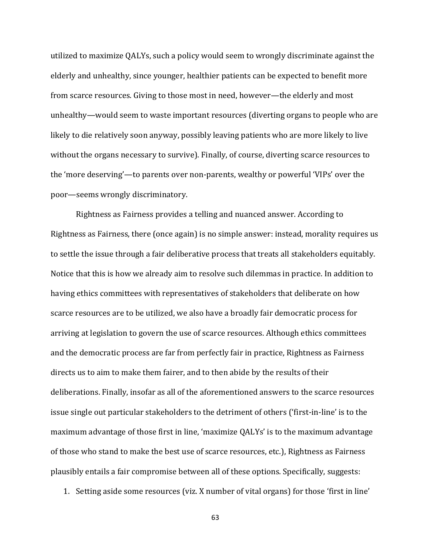utilized to maximize QALYs, such a policy would seem to wrongly discriminate against the elderly and unhealthy, since younger, healthier patients can be expected to benefit more from scarce resources. Giving to those most in need, however—the elderly and most unhealthy—would seem to waste important resources (diverting organs to people who are likely to die relatively soon anyway, possibly leaving patients who are more likely to live without the organs necessary to survive). Finally, of course, diverting scarce resources to the 'more deserving'—to parents over non-parents, wealthy or powerful 'VIPs' over the poor—seems wrongly discriminatory.

Rightness as Fairness provides a telling and nuanced answer. According to Rightness as Fairness, there (once again) is no simple answer: instead, morality requires us to settle the issue through a fair deliberative process that treats all stakeholders equitably. Notice that this is how we already aim to resolve such dilemmas in practice. In addition to having ethics committees with representatives of stakeholders that deliberate on how scarce resources are to be utilized, we also have a broadly fair democratic process for arriving at legislation to govern the use of scarce resources. Although ethics committees and the democratic process are far from perfectly fair in practice, Rightness as Fairness directs us to aim to make them fairer, and to then abide by the results of their deliberations. Finally, insofar as all of the aforementioned answers to the scarce resources issue single out particular stakeholders to the detriment of others ('first-in-line' is to the maximum advantage of those first in line, 'maximize QALYs' is to the maximum advantage of those who stand to make the best use of scarce resources, etc.), Rightness as Fairness plausibly entails a fair compromise between all of these options. Specifically, suggests:

1. Setting aside some resources (viz. X number of vital organs) for those 'first in line'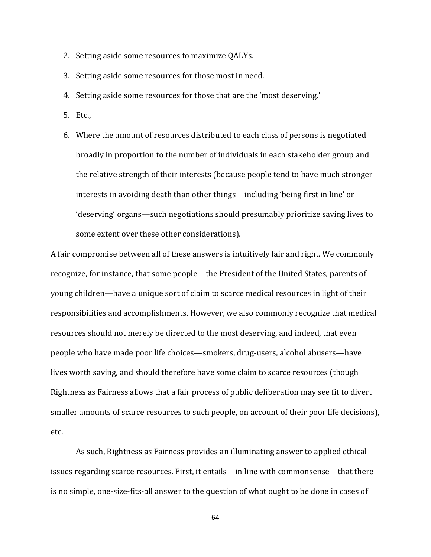- 2. Setting aside some resources to maximize QALYs.
- 3. Setting aside some resources for those most in need.
- 4. Setting aside some resources for those that are the 'most deserving.'
- 5. Etc.,
- 6. Where the amount of resources distributed to each class of persons is negotiated broadly in proportion to the number of individuals in each stakeholder group and the relative strength of their interests (because people tend to have much stronger interests in avoiding death than other things—including 'being first in line' or 'deserving' organs—such negotiations should presumably prioritize saving lives to some extent over these other considerations).

A fair compromise between all of these answers is intuitively fair and right. We commonly recognize, for instance, that some people—the President of the United States, parents of young children—have a unique sort of claim to scarce medical resources in light of their responsibilities and accomplishments. However, we also commonly recognize that medical resources should not merely be directed to the most deserving, and indeed, that even people who have made poor life choices—smokers, drug-users, alcohol abusers—have lives worth saving, and should therefore have some claim to scarce resources (though Rightness as Fairness allows that a fair process of public deliberation may see fit to divert smaller amounts of scarce resources to such people, on account of their poor life decisions), etc.

As such, Rightness as Fairness provides an illuminating answer to applied ethical issues regarding scarce resources. First, it entails—in line with commonsense—that there is no simple, one-size-fits-all answer to the question of what ought to be done in cases of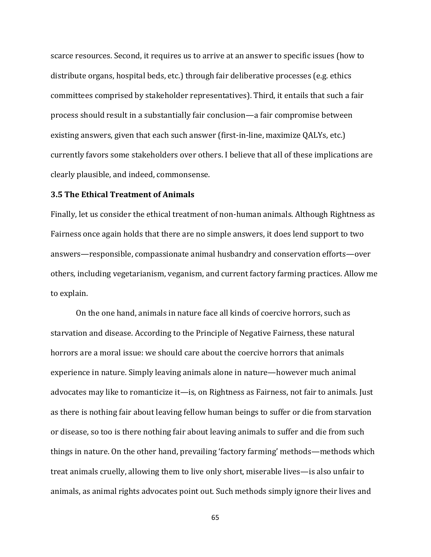scarce resources. Second, it requires us to arrive at an answer to specific issues (how to distribute organs, hospital beds, etc.) through fair deliberative processes (e.g. ethics committees comprised by stakeholder representatives). Third, it entails that such a fair process should result in a substantially fair conclusion—a fair compromise between existing answers, given that each such answer (first-in-line, maximize QALYs, etc.) currently favors some stakeholders over others. I believe that all of these implications are clearly plausible, and indeed, commonsense.

## **3.5 The Ethical Treatment of Animals**

Finally, let us consider the ethical treatment of non-human animals. Although Rightness as Fairness once again holds that there are no simple answers, it does lend support to two answers—responsible, compassionate animal husbandry and conservation efforts—over others, including vegetarianism, veganism, and current factory farming practices. Allow me to explain.

On the one hand, animals in nature face all kinds of coercive horrors, such as starvation and disease. According to the Principle of Negative Fairness, these natural horrors are a moral issue: we should care about the coercive horrors that animals experience in nature. Simply leaving animals alone in nature—however much animal advocates may like to romanticize it—is, on Rightness as Fairness, not fair to animals. Just as there is nothing fair about leaving fellow human beings to suffer or die from starvation or disease, so too is there nothing fair about leaving animals to suffer and die from such things in nature. On the other hand, prevailing 'factory farming' methods—methods which treat animals cruelly, allowing them to live only short, miserable lives—is also unfair to animals, as animal rights advocates point out. Such methods simply ignore their lives and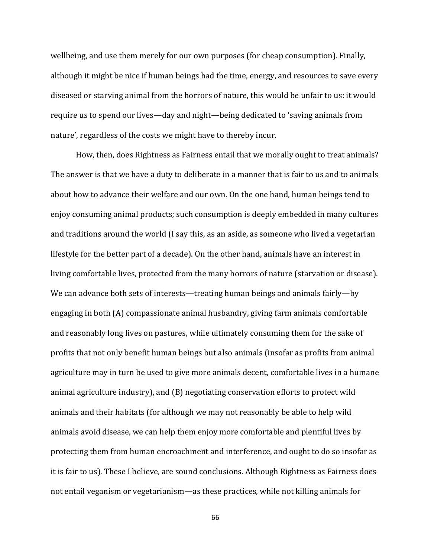wellbeing, and use them merely for our own purposes (for cheap consumption). Finally, although it might be nice if human beings had the time, energy, and resources to save every diseased or starving animal from the horrors of nature, this would be unfair to us: it would require us to spend our lives—day and night—being dedicated to 'saving animals from nature', regardless of the costs we might have to thereby incur.

How, then, does Rightness as Fairness entail that we morally ought to treat animals? The answer is that we have a duty to deliberate in a manner that is fair to us and to animals about how to advance their welfare and our own. On the one hand, human beings tend to enjoy consuming animal products; such consumption is deeply embedded in many cultures and traditions around the world (I say this, as an aside, as someone who lived a vegetarian lifestyle for the better part of a decade). On the other hand, animals have an interest in living comfortable lives, protected from the many horrors of nature (starvation or disease). We can advance both sets of interests—treating human beings and animals fairly—by engaging in both (A) compassionate animal husbandry, giving farm animals comfortable and reasonably long lives on pastures, while ultimately consuming them for the sake of profits that not only benefit human beings but also animals (insofar as profits from animal agriculture may in turn be used to give more animals decent, comfortable lives in a humane animal agriculture industry), and (B) negotiating conservation efforts to protect wild animals and their habitats (for although we may not reasonably be able to help wild animals avoid disease, we can help them enjoy more comfortable and plentiful lives by protecting them from human encroachment and interference, and ought to do so insofar as it is fair to us). These I believe, are sound conclusions. Although Rightness as Fairness does not entail veganism or vegetarianism—as these practices, while not killing animals for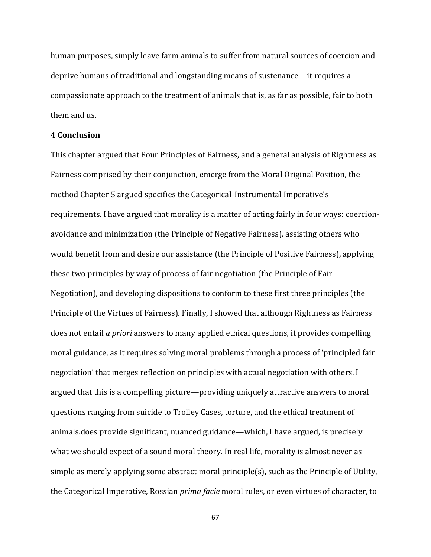human purposes, simply leave farm animals to suffer from natural sources of coercion and deprive humans of traditional and longstanding means of sustenance—it requires a compassionate approach to the treatment of animals that is, as far as possible, fair to both them and us.

## **4 Conclusion**

This chapter argued that Four Principles of Fairness, and a general analysis of Rightness as Fairness comprised by their conjunction, emerge from the Moral Original Position, the method Chapter 5 argued specifies the Categorical-Instrumental Imperative's requirements. I have argued that morality is a matter of acting fairly in four ways: coercionavoidance and minimization (the Principle of Negative Fairness), assisting others who would benefit from and desire our assistance (the Principle of Positive Fairness), applying these two principles by way of process of fair negotiation (the Principle of Fair Negotiation), and developing dispositions to conform to these first three principles (the Principle of the Virtues of Fairness). Finally, I showed that although Rightness as Fairness does not entail *a priori* answers to many applied ethical questions, it provides compelling moral guidance, as it requires solving moral problems through a process of 'principled fair negotiation' that merges reflection on principles with actual negotiation with others. I argued that this is a compelling picture—providing uniquely attractive answers to moral questions ranging from suicide to Trolley Cases, torture, and the ethical treatment of animals.does provide significant, nuanced guidance—which, I have argued, is precisely what we should expect of a sound moral theory. In real life, morality is almost never as simple as merely applying some abstract moral principle(s), such as the Principle of Utility, the Categorical Imperative, Rossian *prima facie* moral rules, or even virtues of character, to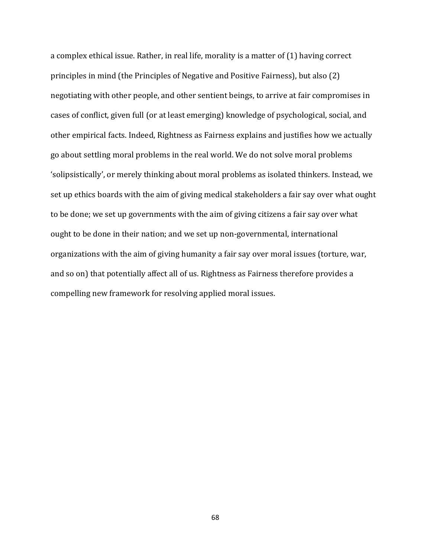a complex ethical issue. Rather, in real life, morality is a matter of (1) having correct principles in mind (the Principles of Negative and Positive Fairness), but also (2) negotiating with other people, and other sentient beings, to arrive at fair compromises in cases of conflict, given full (or at least emerging) knowledge of psychological, social, and other empirical facts. Indeed, Rightness as Fairness explains and justifies how we actually go about settling moral problems in the real world. We do not solve moral problems 'solipsistically', or merely thinking about moral problems as isolated thinkers. Instead, we set up ethics boards with the aim of giving medical stakeholders a fair say over what ought to be done; we set up governments with the aim of giving citizens a fair say over what ought to be done in their nation; and we set up non-governmental, international organizations with the aim of giving humanity a fair say over moral issues (torture, war, and so on) that potentially affect all of us. Rightness as Fairness therefore provides a compelling new framework for resolving applied moral issues.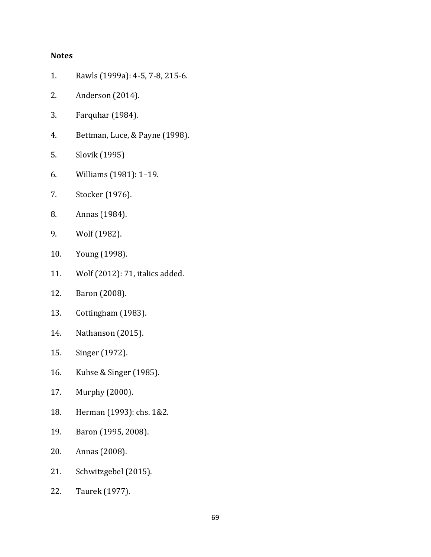# **Notes**

- 1. Rawls (1999a): 4-5, 7-8, 215-6.
- 2. Anderson (2014).
- 3. Farquhar (1984).
- 4. Bettman, Luce, & Payne (1998).
- 5. Slovik (1995)
- 6. Williams (1981): 1–19.
- 7. Stocker (1976).
- 8. Annas (1984).
- 9. Wolf (1982).
- 10. Young (1998).
- 11. Wolf (2012): 71, italics added.
- 12. Baron (2008).
- 13. Cottingham (1983).
- 14. Nathanson (2015).
- 15. Singer (1972).
- 16. Kuhse & Singer (1985).
- 17. Murphy (2000).
- 18. Herman (1993): chs. 1&2.
- 19. Baron (1995, 2008).
- 20. Annas (2008).
- 21. Schwitzgebel (2015).
- 22. Taurek (1977).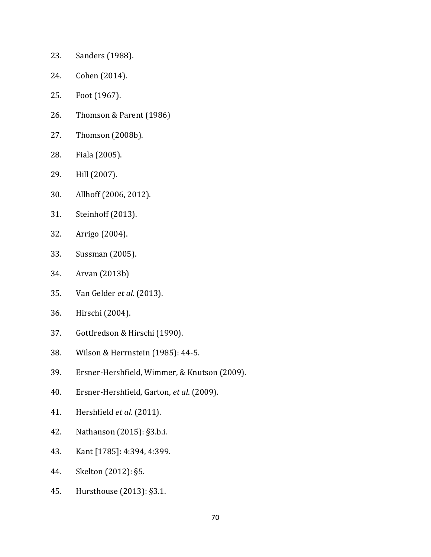- 23. Sanders (1988).
- 24. Cohen (2014).
- 25. Foot (1967).
- 26. Thomson & Parent (1986)
- 27. Thomson (2008b).
- 28. Fiala (2005).
- 29. Hill (2007).
- 30. Allhoff (2006, 2012).
- 31. Steinhoff (2013).
- 32. Arrigo (2004).
- 33. Sussman (2005).
- 34. Arvan (2013b)
- 35. Van Gelder *et al.* (2013).
- 36. Hirschi (2004).
- 37. Gottfredson & Hirschi (1990).
- 38. Wilson & Herrnstein (1985): 44-5.
- 39. Ersner-Hershfield, Wimmer, & Knutson (2009).
- 40. Ersner-Hershfield, Garton, *et al*. (2009).
- 41. Hershfield *et al.* (2011).
- 42. Nathanson (2015): §3.b.i.
- 43. Kant [1785]: 4:394, 4:399.
- 44. Skelton (2012): §5.
- 45. Hursthouse (2013): §3.1.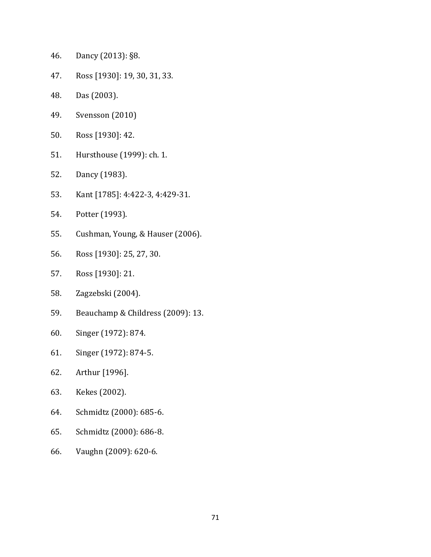- 46. Dancy (2013): §8.
- 47. Ross [1930]: 19, 30, 31, 33.
- 48. Das (2003).
- 49. Svensson (2010)
- 50. Ross [1930]: 42.
- 51. Hursthouse (1999): ch. 1.
- 52. Dancy (1983).
- 53. Kant [1785]: 4:422-3, 4:429-31.
- 54. Potter (1993).
- 55. Cushman, Young, & Hauser (2006).
- 56. Ross [1930]: 25, 27, 30.
- 57. Ross [1930]: 21.
- 58. Zagzebski (2004).
- 59. Beauchamp & Childress (2009): 13.
- 60. Singer (1972): 874.
- 61. Singer (1972): 874-5.
- 62. Arthur [1996].
- 63. Kekes (2002).
- 64. Schmidtz (2000): 685-6.
- 65. Schmidtz (2000): 686-8.
- 66. Vaughn (2009): 620-6.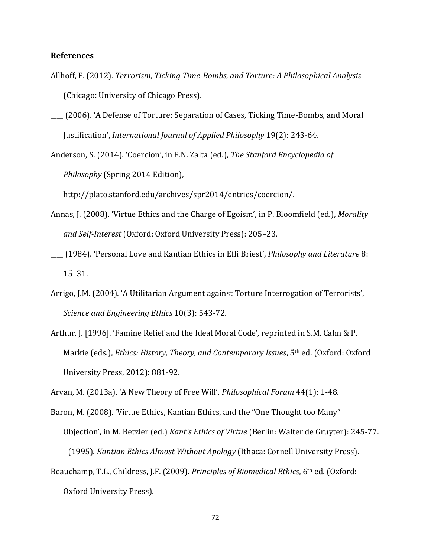## **References**

- Allhoff, F. (2012). *Terrorism, Ticking Time-Bombs, and Torture: A Philosophical Analysis* (Chicago: University of Chicago Press).
- \_\_\_\_ (2006). 'A Defense of Torture: Separation of Cases, Ticking Time-Bombs, and Moral Justification', *International Journal of Applied Philosophy* 19(2): 243-64.
- Anderson, S. (2014). 'Coercion', in E.N. Zalta (ed.), *The Stanford Encyclopedia of Philosophy* (Spring 2014 Edition),

[http://plato.stanford.edu/archives/spr2014/entries/coercion/.](http://plato.stanford.edu/archives/spr2014/entries/coercion/)

- Annas, J. (2008). 'Virtue Ethics and the Charge of Egoism', in P. Bloomfield (ed.), *Morality and Self-Interest* (Oxford: Oxford University Press): 205–23.
- \_\_\_\_ (1984). 'Personal Love and Kantian Ethics in Effi Briest', *Philosophy and Literature* 8: 15–31.
- Arrigo, J.M. (2004). 'A Utilitarian Argument against Torture Interrogation of Terrorists', *Science and Engineering Ethics* 10(3): 543-72.
- Arthur, J. [1996]. 'Famine Relief and the Ideal Moral Code', reprinted in S.M. Cahn & P. Markie (eds.), *Ethics: History, Theory, and Contemporary Issues*, 5th ed. (Oxford: Oxford University Press, 2012): 881-92.
- Arvan, M. (2013a). 'A New Theory of Free Will', *Philosophical Forum* 44(1): 1-48.
- Baron, M. (2008). 'Virtue Ethics, Kantian Ethics, and the "One Thought too Many" Objection', in M. Betzler (ed.) *Kant's Ethics of Virtue* (Berlin: Walter de Gruyter): 245-77. \_\_\_\_\_ (1995). *Kantian Ethics Almost Without Apology* (Ithaca: Cornell University Press).
- Beauchamp, T.L., Childress, J.F. (2009). *Principles of Biomedical Ethics*, 6th ed. (Oxford:

Oxford University Press).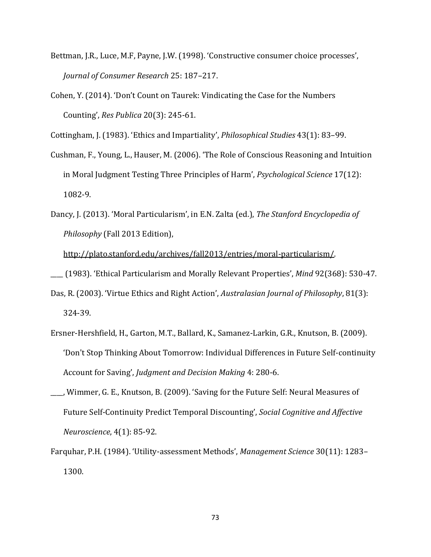- Bettman, J.R., Luce, M.F, Payne, J.W. (1998). 'Constructive consumer choice processes', *Journal of Consumer Research* 25: 187–217.
- Cohen, Y. (2014). 'Don't Count on Taurek: Vindicating the Case for the Numbers Counting', *Res Publica* 20(3): 245-61.

Cottingham, J. (1983). 'Ethics and Impartiality', *Philosophical Studies* 43(1): 83–99.

- Cushman, F., Young, L., Hauser, M. (2006). 'The Role of Conscious Reasoning and Intuition in Moral Judgment Testing Three Principles of Harm', *Psychological Science* 17(12): 1082-9.
- Dancy, J. (2013). 'Moral Particularism', in E.N. Zalta (ed.), *The Stanford Encyclopedia of Philosophy* (Fall 2013 Edition),

[http://plato.stanford.edu/archives/fall2013/entries/moral-particularism/.](http://plato.stanford.edu/archives/fall2013/entries/moral-particularism/)

\_\_\_\_ (1983). 'Ethical Particularism and Morally Relevant Properties', *Mind* 92(368): 530-47.

- Das, R. (2003). 'Virtue Ethics and Right Action', *Australasian Journal of Philosophy*, 81(3): 324-39.
- Ersner-Hershfield, H., Garton, M.T., Ballard, K., Samanez-Larkin, G.R., Knutson, B. (2009). 'Don't Stop Thinking About Tomorrow: Individual Differences in Future Self-continuity Account for Saving', *Judgment and Decision Making* 4: 280-6.
- \_\_\_\_, Wimmer, G. E., Knutson, B. (2009). 'Saving for the Future Self: Neural Measures of Future Self-Continuity Predict Temporal Discounting', *Social Cognitive and Affective Neuroscience*, 4(1): 85-92.
- Farquhar, P.H. (1984). 'Utility-assessment Methods', *Management Science* 30(11): 1283– 1300.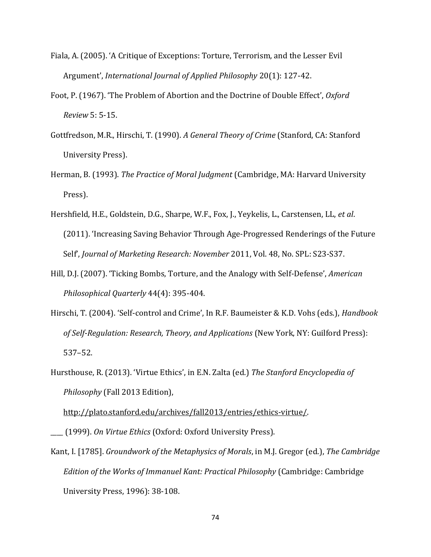- Fiala, A. (2005). 'A Critique of Exceptions: Torture, Terrorism, and the Lesser Evil Argument', *International Journal of Applied Philosophy* 20(1): 127-42.
- Foot, P. (1967). 'The Problem of Abortion and the Doctrine of Double Effect', *Oxford Review* 5: 5-15.
- Gottfredson, M.R., Hirschi, T. (1990). *A General Theory of Crime* (Stanford, CA: Stanford University Press).
- Herman, B. (1993). *The Practice of Moral Judgment* (Cambridge, MA: Harvard University Press).
- Hershfield, H.E., Goldstein, D.G., Sharpe, W.F., Fox, J., Yeykelis, L., Carstensen, LL, *et al*. (2011). 'Increasing Saving Behavior Through Age-Progressed Renderings of the Future Self', *Journal of Marketing Research: November* 2011, Vol. 48, No. SPL: S23-S37.
- Hill, D.J. (2007). 'Ticking Bombs, Torture, and the Analogy with Self-Defense', *American Philosophical Quarterly* 44(4): 395-404.
- Hirschi, T. (2004). 'Self-control and Crime', In R.F. Baumeister & K.D. Vohs (eds.), *Handbook of Self-Regulation: Research, Theory, and Applications* (New York, NY: Guilford Press): 537–52.
- Hursthouse, R. (2013). 'Virtue Ethics', in E.N. Zalta (ed.) *The Stanford Encyclopedia of Philosophy* (Fall 2013 Edition),

[http://plato.stanford.edu/archives/fall2013/entries/ethics-virtue/.](http://plato.stanford.edu/archives/fall2013/entries/ethics-virtue/)

\_\_\_\_ (1999). *On Virtue Ethics* (Oxford: Oxford University Press).

Kant, I. [1785]. *Groundwork of the Metaphysics of Morals*, in M.J. Gregor (ed.), *The Cambridge Edition of the Works of Immanuel Kant: Practical Philosophy* (Cambridge: Cambridge University Press, 1996): 38-108.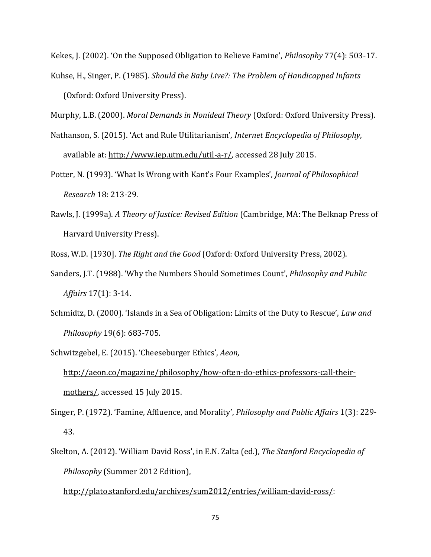Kekes, J. (2002). 'On the Supposed Obligation to Relieve Famine', *Philosophy* 77(4): 503-17.

- Kuhse, H., Singer, P. (1985). *Should the Baby Live?: The Problem of Handicapped Infants* (Oxford: Oxford University Press).
- Murphy, L.B. (2000). *Moral Demands in Nonideal Theory* (Oxford: Oxford University Press).
- Nathanson, S. (2015). 'Act and Rule Utilitarianism', *Internet Encyclopedia of Philosophy*, available at: [http://www.iep.utm.edu/util-a-r/,](http://www.iep.utm.edu/util-a-r/) accessed 28 July 2015.
- Potter, N. (1993). 'What Is Wrong with Kant's Four Examples', *Journal of Philosophical Research* 18: 213-29.
- Rawls, J. (1999a). *A Theory of Justice: Revised Edition* (Cambridge, MA: The Belknap Press of Harvard University Press).

Ross, W.D. [1930]. *The Right and the Good* (Oxford: Oxford University Press, 2002).

- Sanders, J.T. (1988). 'Why the Numbers Should Sometimes Count', *Philosophy and Public Affairs* 17(1): 3-14.
- Schmidtz, D. (2000). 'Islands in a Sea of Obligation: Limits of the Duty to Rescue', *Law and Philosophy* 19(6): 683-705.
- Schwitzgebel, E. (2015). 'Cheeseburger Ethics', *Aeon,*

[http://aeon.co/magazine/philosophy/how-often-do-ethics-professors-call-their](http://aeon.co/magazine/philosophy/how-often-do-ethics-professors-call-their-mothers/)[mothers/,](http://aeon.co/magazine/philosophy/how-often-do-ethics-professors-call-their-mothers/) accessed 15 July 2015.

- Singer, P. (1972). 'Famine, Affluence, and Morality', *Philosophy and Public Affairs* 1(3): 229- 43.
- Skelton, A. (2012). 'William David Ross', in E.N. Zalta (ed.), *The Stanford Encyclopedia of Philosophy* (Summer 2012 Edition),
	- [http://plato.stanford.edu/archives/sum2012/entries/william-david-ross/:](http://plato.stanford.edu/archives/sum2012/entries/william-david-ross/)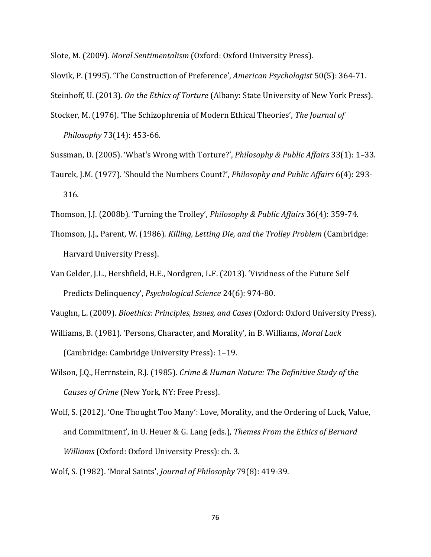Slote, M. (2009). *Moral Sentimentalism* (Oxford: Oxford University Press).

Slovik, P. (1995). 'The Construction of Preference', *American Psychologist* 50(5): 364-71.

Steinhoff, U. (2013). *On the Ethics of Torture* (Albany: State University of New York Press).

- Stocker, M. (1976). 'The Schizophrenia of Modern Ethical Theories', *The Journal of Philosophy* 73(14): 453-66.
- Sussman, D. (2005). 'What's Wrong with Torture?', *Philosophy & Public Affairs* 33(1): 1–33.
- Taurek, J.M. (1977). 'Should the Numbers Count?', *Philosophy and Public Affairs* 6(4): 293- 316.
- Thomson, J.J. (2008b). 'Turning the Trolley', *Philosophy & Public Affairs* 36(4): 359-74.
- Thomson, J.J., Parent, W. (1986). *Killing, Letting Die, and the Trolley Problem* (Cambridge: Harvard University Press).
- Van Gelder, J.L., Hershfield, H.E., Nordgren, L.F. (2013). 'Vividness of the Future Self Predicts Delinquency', *Psychological Science* 24(6): 974-80.

Vaughn, L. (2009). *Bioethics: Principles, Issues, and Cases* (Oxford: Oxford University Press).

Williams, B. (1981). 'Persons, Character, and Morality', in B. Williams, *Moral Luck* (Cambridge: Cambridge University Press): 1–19.

Wilson, J.Q., Herrnstein, R.J. (1985). *Crime & Human Nature: The Definitive Study of the Causes of Crime* (New York, NY: Free Press).

Wolf, S. (2012). 'One Thought Too Many': Love, Morality, and the Ordering of Luck, Value, and Commitment', in U. Heuer & G. Lang (eds.), *Themes From the Ethics of Bernard Williams* (Oxford: Oxford University Press): ch. 3.

Wolf, S. (1982). 'Moral Saints', *Journal of Philosophy* 79(8): 419-39.